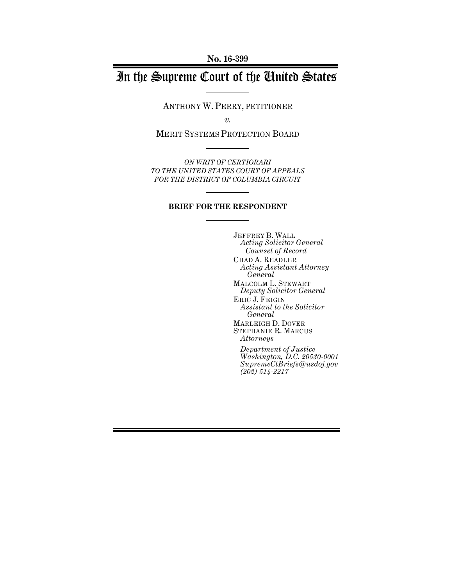**No. 16-399**

# In the Supreme Court of the United States

ANTHONY W. PERRY, PETITIONER

*v.*

MERIT SYSTEMS PROTECTION BOARD

*ON WRIT OF CERTIORARI TO THE UNITED STATES COURT OF APPEALS FOR THE DISTRICT OF COLUMBIA CIRCUIT*

#### **BRIEF FOR THE RESPONDENT**

JEFFREY B. WALL *Acting Solicitor General Counsel of Record* CHAD A. READLER *Acting Assistant Attorney General* MALCOLM L. STEWART *Deputy Solicitor General* ERIC J. FEIGIN *Assistant to the Solicitor General* MARLEIGH D. DOVER STEPHANIE R. MARCUS *Attorneys Department of Justice*

*Washington, D.C. 20530-0001 SupremeCtBriefs@usdoj.gov (202) 514-2217*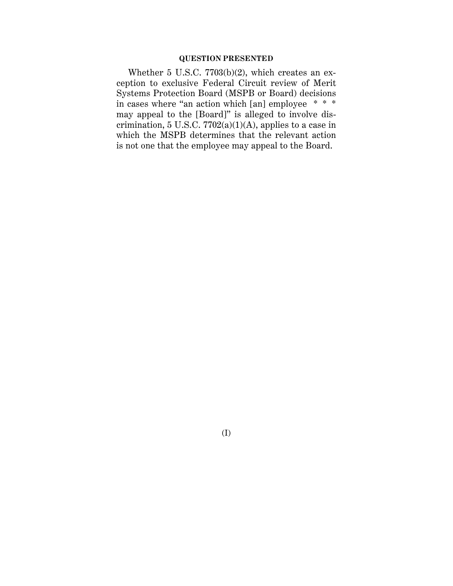### **QUESTION PRESENTED**

Whether 5 U.S.C. 7703(b)(2), which creates an exception to exclusive Federal Circuit review of Merit Systems Protection Board (MSPB or Board) decisions in cases where "an action which [an] employee \* \* \* may appeal to the [Board]" is alleged to involve discrimination, 5 U.S.C.  $7702(a)(1)(A)$ , applies to a case in which the MSPB determines that the relevant action is not one that the employee may appeal to the Board.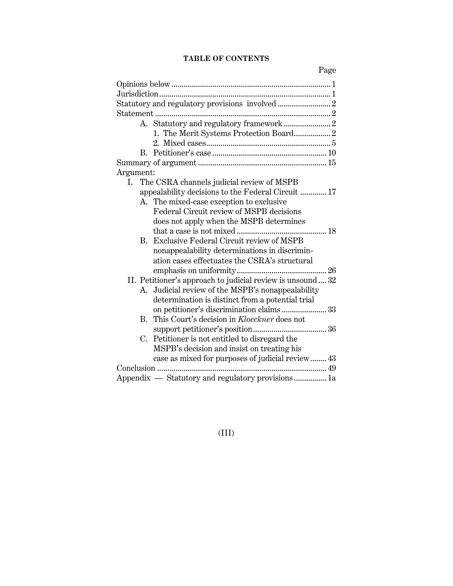## **TABLE OF CONTENTS**

Page

| 1. The Merit Systems Protection Board 2                             |
|---------------------------------------------------------------------|
|                                                                     |
|                                                                     |
|                                                                     |
| Argument:                                                           |
| I. The CSRA channels judicial review of MSPB                        |
| appealability decisions to the Federal Circuit  17                  |
| A. The mixed-case exception to exclusive                            |
| Federal Circuit review of MSPB decisions                            |
| does not apply when the MSPB determines                             |
|                                                                     |
| B. Exclusive Federal Circuit review of MSPB                         |
| nonappealability determinations in discrimin-                       |
| ation cases effectuates the CSRA's structural                       |
|                                                                     |
| II. Petitioner's approach to judicial review is unsound  32         |
| A. Judicial review of the MSPB's nonappealability                   |
| determination is distinct from a potential trial                    |
| on petitioner's discrimination claims 33                            |
| This Court's decision in Kloeckner does not<br>$\mathbf{B}_{\cdot}$ |
|                                                                     |
| C. Petitioner is not entitled to disregard the                      |
| MSPB's decision and insist on treating his                          |
| case as mixed for purposes of judicial review 43                    |
| Conclusion<br>.                                                     |
| Appendix - Statutory and regulatory provisions 1a                   |

# (III)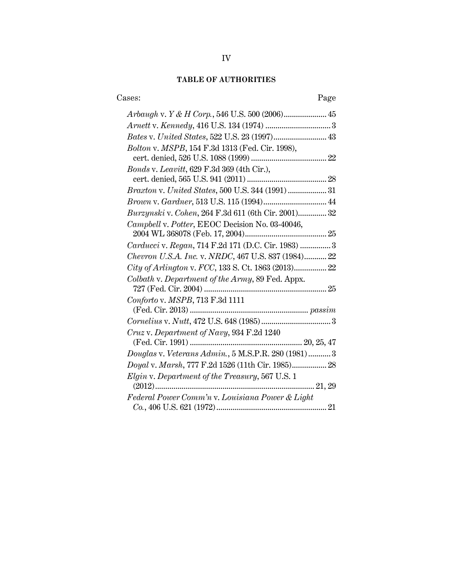# **TABLE OF AUTHORITIES**

| Cases:<br>Page                                      |
|-----------------------------------------------------|
|                                                     |
|                                                     |
|                                                     |
| Bolton v. MSPB, 154 F.3d 1313 (Fed. Cir. 1998),     |
| <i>Bonds v. Leavitt, 629 F.3d 369 (4th Cir.),</i>   |
|                                                     |
|                                                     |
|                                                     |
| Burzynski v. Cohen, 264 F.3d 611 (6th Cir. 2001) 32 |
| Campbell v. Potter, EEOC Decision No. 03-40046,     |
| Carducci v. Regan, 714 F.2d 171 (D.C. Cir. 1983)  3 |
| Chevron U.S.A. Inc. v. NRDC, 467 U.S. 837 (1984) 22 |
| City of Arlington v. FCC, 133 S. Ct. 1863 (2013) 22 |
| Colbath v. Department of the Army, 89 Fed. Appx.    |
|                                                     |
| Conforto v. MSPB, 713 F.3d 1111                     |
|                                                     |
|                                                     |
| Cruz v. Department of Navy, 934 F.2d 1240           |
|                                                     |
| Douglas v. Veterans Admin., 5 M.S.P.R. 280 (1981) 3 |
| Doyal v. Marsh, 777 F.2d 1526 (11th Cir. 1985) 28   |
| Elgin v. Department of the Treasury, 567 U.S. 1     |
| $(2012)$<br>21, 29                                  |
| Federal Power Comm'n v. Louisiana Power & Light     |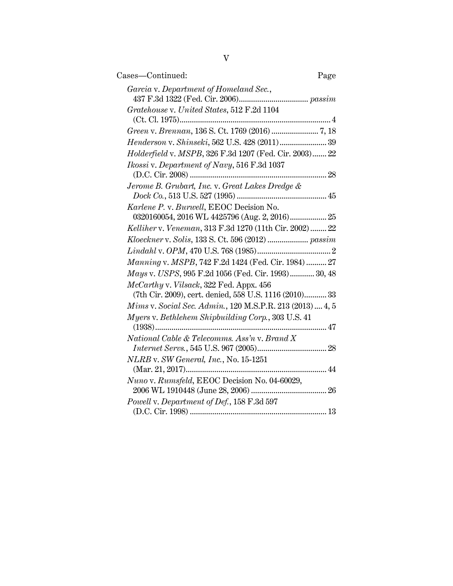| Cases-Continued:<br>Page                                  |
|-----------------------------------------------------------|
| Garcia v. Department of Homeland Sec.,                    |
| Gratehouse v. United States, 512 F.2d 1104                |
|                                                           |
| Henderson v. Shinseki, 562 U.S. 428 (2011) 39             |
| Holderfield v. MSPB, 326 F.3d 1207 (Fed. Cir. 2003) 22    |
| Ikossi v. Department of Navy, 516 F.3d 1037               |
| Jerome B. Grubart, Inc. v. Great Lakes Dredge &           |
|                                                           |
| Karlene P. v. Burwell, EEOC Decision No.                  |
|                                                           |
| Kelliher v. Veneman, 313 F.3d 1270 (11th Cir. 2002)  22   |
|                                                           |
|                                                           |
| Manning v. MSPB, 742 F.2d 1424 (Fed. Cir. 1984)  27       |
| Mays v. USPS, 995 F.2d 1056 (Fed. Cir. 1993) 30, 48       |
| McCarthy v. Vilsack, 322 Fed. Appx. 456                   |
| (7th Cir. 2009), cert. denied, 558 U.S. 1116 (2010) 33    |
| Mims v. Social Sec. Admin., 120 M.S.P.R. 213 (2013)  4, 5 |
| Myers v. Bethlehem Shipbuilding Corp., 303 U.S. 41        |
|                                                           |
| National Cable & Telecomms. Ass'n v. Brand X              |
|                                                           |
| NLRB v. SW General, Inc., No. 15-1251                     |
| Nuno v. Rumsfeld, EEOC Decision No. 04-60029,             |
|                                                           |
| Powell v. Department of Def., 158 F.3d 597                |
|                                                           |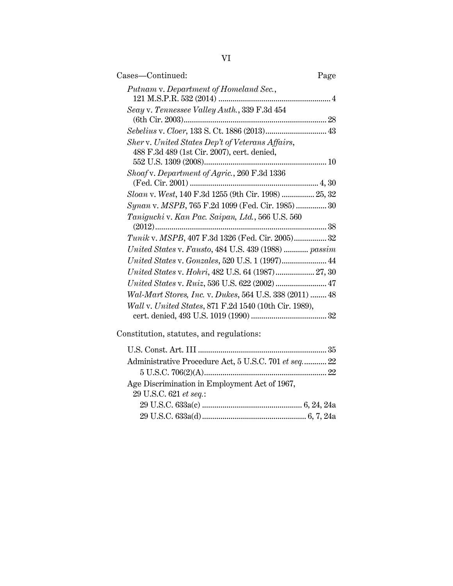| Cases-Continued:                                                                                | Page |
|-------------------------------------------------------------------------------------------------|------|
| Putnam v. Department of Homeland Sec.,                                                          |      |
| Seay v. Tennessee Valley Auth., 339 F.3d 454                                                    |      |
|                                                                                                 |      |
| Sher v. United States Dep't of Veterans Affairs,<br>488 F.3d 489 (1st Cir. 2007), cert. denied, |      |
| Shoaf v. Department of Agric., 260 F.3d 1336                                                    |      |
| Sloan v. West, 140 F.3d 1255 (9th Cir. 1998)  25, 32                                            |      |
| Synan v. MSPB, 765 F.2d 1099 (Fed. Cir. 1985)  30                                               |      |
| Taniguchi v. Kan Pac. Saipan, Ltd., 566 U.S. 560                                                |      |
| Tunik v. MSPB, 407 F.3d 1326 (Fed. Cir. 2005) 32                                                |      |
| United States v. Fausto, 484 U.S. 439 (1988)  passim                                            |      |
| United States v. Gonzales, 520 U.S. 1 (1997) 44                                                 |      |
| United States v. Hohri, 482 U.S. 64 (1987) 27, 30                                               |      |
| United States v. Ruiz, 536 U.S. 622 (2002)  47                                                  |      |
| Wal-Mart Stores, Inc. v. Dukes, 564 U.S. 338 (2011)  48                                         |      |
| Wall v. United States, 871 F.2d 1540 (10th Cir. 1989),                                          |      |
| creatitution atotutes and reculetionar                                                          |      |

Constitution, statutes, and regulations:

| Administrative Procedure Act, 5 U.S.C. 701 et seq 22 |
|------------------------------------------------------|
|                                                      |
|                                                      |
|                                                      |
|                                                      |
|                                                      |
|                                                      |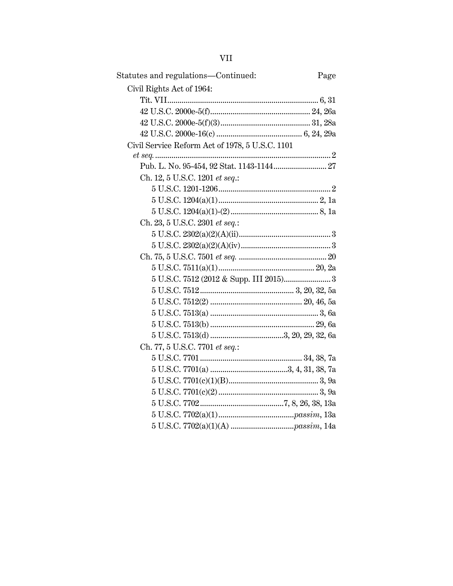**VII** 

| Statutes and regulations-Continued:<br>Page     |  |
|-------------------------------------------------|--|
| Civil Rights Act of 1964:                       |  |
|                                                 |  |
|                                                 |  |
|                                                 |  |
|                                                 |  |
| Civil Service Reform Act of 1978, 5 U.S.C. 1101 |  |
|                                                 |  |
| Pub. L. No. 95-454, 92 Stat. 1143-1144 27       |  |
| Ch. 12, 5 U.S.C. 1201 et seq.:                  |  |
|                                                 |  |
|                                                 |  |
|                                                 |  |
| Ch. 23, 5 U.S.C. 2301 et seq.:                  |  |
|                                                 |  |
|                                                 |  |
|                                                 |  |
|                                                 |  |
|                                                 |  |
|                                                 |  |
|                                                 |  |
|                                                 |  |
|                                                 |  |
|                                                 |  |
| Ch. 77, 5 U.S.C. 7701 et seq.:                  |  |
|                                                 |  |
|                                                 |  |
|                                                 |  |
|                                                 |  |
|                                                 |  |
|                                                 |  |
|                                                 |  |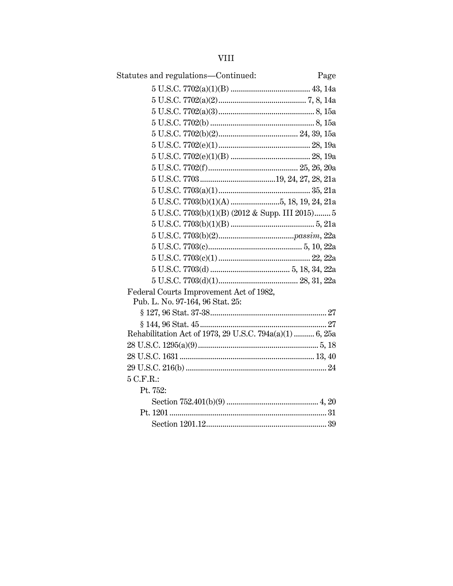| <b>VIII</b>                                                                 |
|-----------------------------------------------------------------------------|
| Statutes and regulations-Continued:<br>Page                                 |
|                                                                             |
|                                                                             |
|                                                                             |
|                                                                             |
|                                                                             |
|                                                                             |
|                                                                             |
|                                                                             |
|                                                                             |
|                                                                             |
| $5$ U.S.C. $7703(b)(1)(A)$ 5, 18, 19, 24, 21a                               |
| 5 U.S.C. 7703(b)(1)(B) (2012 & Supp. III 2015) 5                            |
|                                                                             |
|                                                                             |
|                                                                             |
|                                                                             |
|                                                                             |
|                                                                             |
| Federal Courts Improvement Act of 1982,<br>Pub. L. No. 97-164, 96 Stat. 25: |
|                                                                             |
|                                                                             |
| Rehabilitation Act of 1973, 29 U.S.C. 794a(a)(1)  6, 25a                    |
|                                                                             |
|                                                                             |
|                                                                             |
| 5 C.F.R.:                                                                   |
| Pt. 752:                                                                    |
|                                                                             |
|                                                                             |
|                                                                             |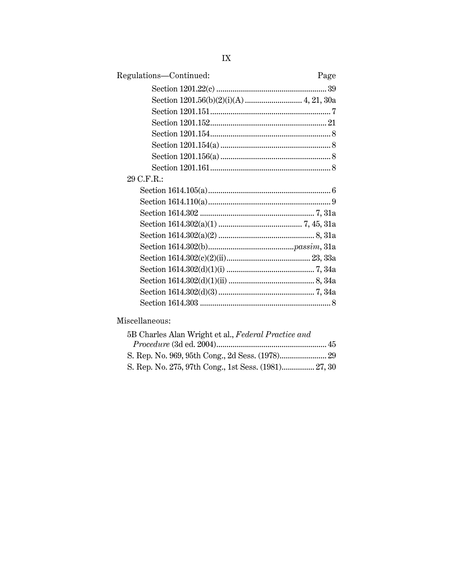| Regulations-Continued: | Page |
|------------------------|------|
|                        |      |
|                        |      |
|                        |      |
|                        |      |
|                        |      |
|                        |      |
|                        |      |
|                        |      |
| 29 C.F.R.:             |      |
|                        |      |
|                        |      |
|                        |      |
|                        |      |
|                        |      |
|                        |      |
|                        |      |
|                        |      |
|                        |      |
|                        |      |
|                        |      |

# Miscellaneous:

| 5B Charles Alan Wright et al., Federal Practice and  |  |
|------------------------------------------------------|--|
|                                                      |  |
|                                                      |  |
| S. Rep. No. 275, 97th Cong., 1st Sess. (1981) 27, 30 |  |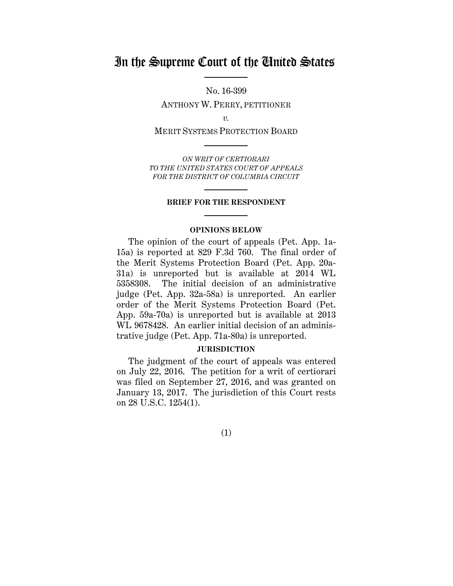# In the Supreme Court of the United States

No. 16-399 ANTHONY W. PERRY, PETITIONER

*v.*

MERIT SYSTEMS PROTECTION BOARD

*ON WRIT OF CERTIORARI TO THE UNITED STATES COURT OF APPEALS FOR THE DISTRICT OF COLUMBIA CIRCUIT*

#### **BRIEF FOR THE RESPONDENT**

#### **OPINIONS BELOW**

<span id="page-9-0"></span>The opinion of the court of appeals (Pet. App. 1a-15a) is reported at 829 F.3d 760. The final order of the Merit Systems Protection Board (Pet. App. 20a-31a) is unreported but is available at 2014 WL 5358308. The initial decision of an administrative judge (Pet. App. 32a-58a) is unreported. An earlier order of the Merit Systems Protection Board (Pet. App. 59a-70a) is unreported but is available at 2013 WL 9678428. An earlier initial decision of an administrative judge (Pet. App. 71a-80a) is unreported.

#### **JURISDICTION**

<span id="page-9-1"></span>The judgment of the court of appeals was entered on July 22, 2016. The petition for a writ of certiorari was filed on September 27, 2016, and was granted on January 13, 2017. The jurisdiction of this Court rests on 28 U.S.C. 1254(1).

(1)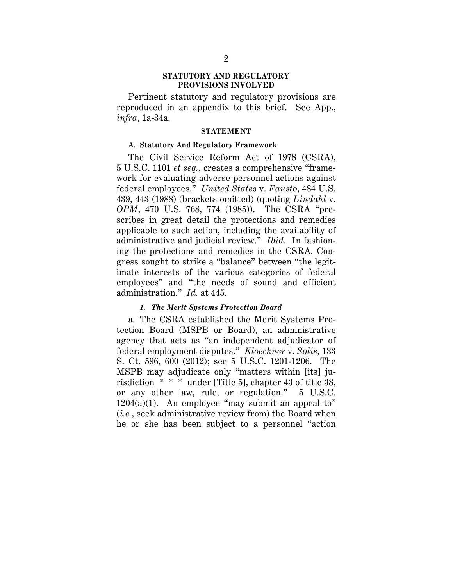#### **STATUTORY AND REGULATORY PROVISIONS INVOLVED**

<span id="page-10-0"></span>Pertinent statutory and regulatory provisions are reproduced in an appendix to this brief. See App., *infra*, 1a-34a.

#### **STATEMENT**

#### <span id="page-10-2"></span><span id="page-10-1"></span>**A. Statutory And Regulatory Framework**

The Civil Service Reform Act of 1978 (CSRA), 5 U.S.C. 1101 *et seq.*, creates a comprehensive "framework for evaluating adverse personnel actions against federal employees." *United States* v. *Fausto*, 484 U.S. 439, 443 (1988) (brackets omitted) (quoting *Lindahl* v. *OPM*, 470 U.S. 768, 774 (1985)). The CSRA "prescribes in great detail the protections and remedies applicable to such action, including the availability of administrative and judicial review." *Ibid*. In fashioning the protections and remedies in the CSRA, Congress sought to strike a "balance" between "the legitimate interests of the various categories of federal employees" and "the needs of sound and efficient administration." *Id.* at 445.

#### *1. The Merit Systems Protection Board*

<span id="page-10-3"></span>a. The CSRA established the Merit Systems Protection Board (MSPB or Board), an administrative agency that acts as "an independent adjudicator of federal employment disputes." *Kloeckner* v. *Solis*, 133 S. Ct. 596, 600 (2012); see 5 U.S.C. 1201-1206. The MSPB may adjudicate only "matters within [its] jurisdiction \* \* \* under [Title 5], chapter 43 of title 38, or any other law, rule, or regulation." 5 U.S.C.  $1204(a)(1)$ . An employee "may submit an appeal to" (*i.e.*, seek administrative review from) the Board when he or she has been subject to a personnel "action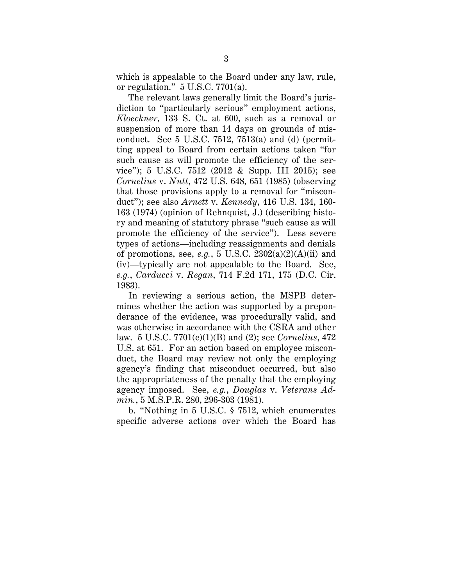which is appealable to the Board under any law, rule, or regulation." 5 U.S.C. 7701(a).

The relevant laws generally limit the Board's jurisdiction to "particularly serious" employment actions, *Kloeckner*, 133 S. Ct. at 600, such as a removal or suspension of more than 14 days on grounds of misconduct. See  $5$  U.S.C. 7512, 7513(a) and (d) (permitting appeal to Board from certain actions taken "for such cause as will promote the efficiency of the service"); 5 U.S.C. 7512 (2012 & Supp. III 2015); see *Cornelius* v. *Nutt*, 472 U.S. 648, 651 (1985) (observing that those provisions apply to a removal for "misconduct"); see also *Arnett* v. *Kennedy*, 416 U.S. 134, 160- 163 (1974) (opinion of Rehnquist, J.) (describing history and meaning of statutory phrase "such cause as will promote the efficiency of the service"). Less severe types of actions—including reassignments and denials of promotions, see, *e.g.*, 5 U.S.C.  $2302(a)(2)(A)(ii)$  and (iv)—typically are not appealable to the Board. See, *e.g.*, *Carducci* v. *Regan*, 714 F.2d 171, 175 (D.C. Cir. 1983).

In reviewing a serious action, the MSPB determines whether the action was supported by a preponderance of the evidence, was procedurally valid, and was otherwise in accordance with the CSRA and other law. 5 U.S.C. 7701(c)(1)(B) and (2); see *Cornelius*, 472 U.S. at 651. For an action based on employee misconduct, the Board may review not only the employing agency's finding that misconduct occurred, but also the appropriateness of the penalty that the employing agency imposed. See, *e.g.*, *Douglas* v. *Veterans Admin.*, 5 M.S.P.R. 280, 296-303 (1981).

b. "Nothing in 5 U.S.C. § 7512, which enumerates specific adverse actions over which the Board has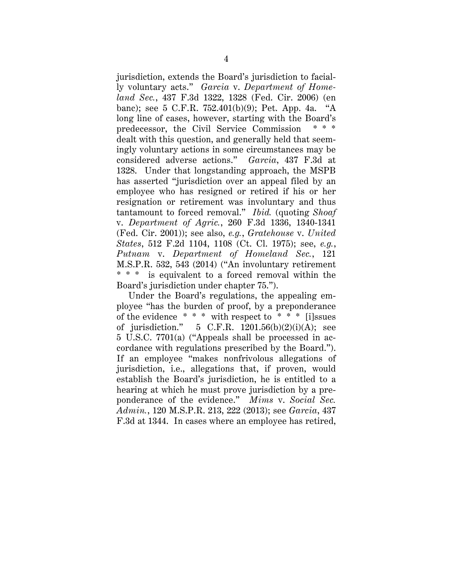jurisdiction, extends the Board's jurisdiction to facially voluntary acts." *Garcia* v. *Department of Homeland Sec.*, 437 F.3d 1322, 1328 (Fed. Cir. 2006) (en banc); see 5 C.F.R. 752.401(b)(9); Pet. App. 4a. "A long line of cases, however, starting with the Board's predecessor, the Civil Service Commission dealt with this question, and generally held that seemingly voluntary actions in some circumstances may be considered adverse actions." *Garcia*, 437 F.3d at 1328. Under that longstanding approach, the MSPB has asserted "jurisdiction over an appeal filed by an employee who has resigned or retired if his or her resignation or retirement was involuntary and thus tantamount to forced removal." *Ibid.* (quoting *Shoaf* v. *Department of Agric.*, 260 F.3d 1336, 1340-1341 (Fed. Cir. 2001)); see also, *e.g.*, *Gratehouse* v. *United States*, 512 F.2d 1104, 1108 (Ct. Cl. 1975); see, *e.g.*, *Putnam* v. *Department of Homeland Sec.*, 121 M.S.P.R. 532, 543 (2014) ("An involuntary retirement \* \* \* is equivalent to a forced removal within the Board's jurisdiction under chapter 75.").

Under the Board's regulations, the appealing employee "has the burden of proof, by a preponderance of the evidence  $***$  with respect to  $**$  \* [i]ssues of jurisdiction." 5 C.F.R.  $1201.56(b)(2)(i)(A)$ ; see 5 U.S.C. 7701(a) ("Appeals shall be processed in accordance with regulations prescribed by the Board."). If an employee "makes nonfrivolous allegations of jurisdiction, i.e., allegations that, if proven, would establish the Board's jurisdiction, he is entitled to a hearing at which he must prove jurisdiction by a preponderance of the evidence." *Mims* v. *Social Sec. Admin.*, 120 M.S.P.R. 213, 222 (2013); see *Garcia*, 437 F.3d at 1344. In cases where an employee has retired,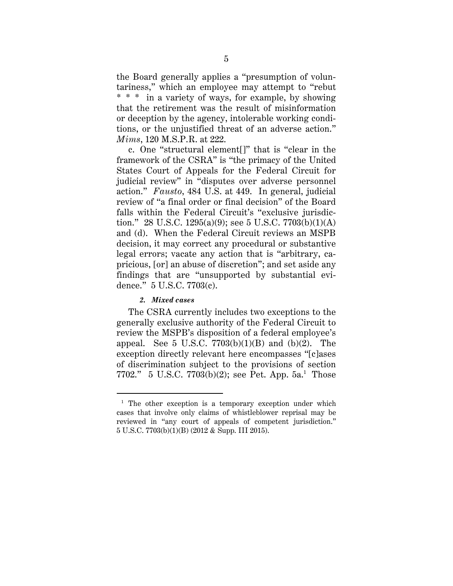the Board generally applies a "presumption of voluntariness," which an employee may attempt to "rebut \* \* \* in a variety of ways, for example, by showing that the retirement was the result of misinformation or deception by the agency, intolerable working conditions, or the unjustified threat of an adverse action." *Mims*, 120 M.S.P.R. at 222.

c. One "structural element[]" that is "clear in the framework of the CSRA" is "the primacy of the United States Court of Appeals for the Federal Circuit for judicial review" in "disputes over adverse personnel action." *Fausto*, 484 U.S. at 449. In general, judicial review of "a final order or final decision" of the Board falls within the Federal Circuit's "exclusive jurisdiction." 28 U.S.C. 1295(a)(9); see 5 U.S.C. 7703(b)(1)(A) and (d). When the Federal Circuit reviews an MSPB decision, it may correct any procedural or substantive legal errors; vacate any action that is "arbitrary, capricious, [or] an abuse of discretion"; and set aside any findings that are "unsupported by substantial evidence." 5 U.S.C. 7703(c).

### *2. Mixed cases*

<span id="page-13-0"></span>The CSRA currently includes two exceptions to the generally exclusive authority of the Federal Circuit to review the MSPB's disposition of a federal employee's appeal. See 5 U.S.C.  $7703(b)(1)(B)$  and  $(b)(2)$ . The exception directly relevant here encompasses "[c]ases of discrimination subject to the provisions of section 7702." 5 U.S.C. 7703(b)(2); see Pet. App.  $5a$ .<sup>[1](#page-13-1)</sup> Those

<span id="page-13-1"></span><sup>&</sup>lt;sup>1</sup> The other exception is a temporary exception under which cases that involve only claims of whistleblower reprisal may be reviewed in "any court of appeals of competent jurisdiction." 5 U.S.C. 7703(b)(1)(B) (2012 & Supp. III 2015).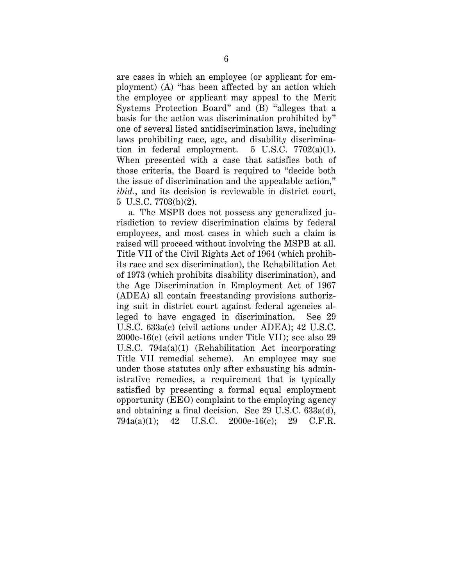are cases in which an employee (or applicant for employment) (A) "has been affected by an action which the employee or applicant may appeal to the Merit Systems Protection Board" and (B) "alleges that a basis for the action was discrimination prohibited by" one of several listed antidiscrimination laws, including laws prohibiting race, age, and disability discrimination in federal employment.  $5 \text{ U.S.C. } 7702(a)(1)$ . When presented with a case that satisfies both of those criteria, the Board is required to "decide both the issue of discrimination and the appealable action," *ibid.*, and its decision is reviewable in district court, 5 U.S.C. 7703(b)(2).

a. The MSPB does not possess any generalized jurisdiction to review discrimination claims by federal employees, and most cases in which such a claim is raised will proceed without involving the MSPB at all. Title VII of the Civil Rights Act of 1964 (which prohibits race and sex discrimination), the Rehabilitation Act of 1973 (which prohibits disability discrimination), and the Age Discrimination in Employment Act of 1967 (ADEA) all contain freestanding provisions authorizing suit in district court against federal agencies alleged to have engaged in discrimination. See 29 U.S.C. 633a(c) (civil actions under ADEA); 42 U.S.C. 2000e-16(c) (civil actions under Title VII); see also 29 U.S.C. 794a(a)(1) (Rehabilitation Act incorporating Title VII remedial scheme). An employee may sue under those statutes only after exhausting his administrative remedies, a requirement that is typically satisfied by presenting a formal equal employment opportunity (EEO) complaint to the employing agency and obtaining a final decision. See 29 U.S.C. 633a(d), 794a(a)(1); 42 U.S.C. 2000e-16(c); 29 C.F.R.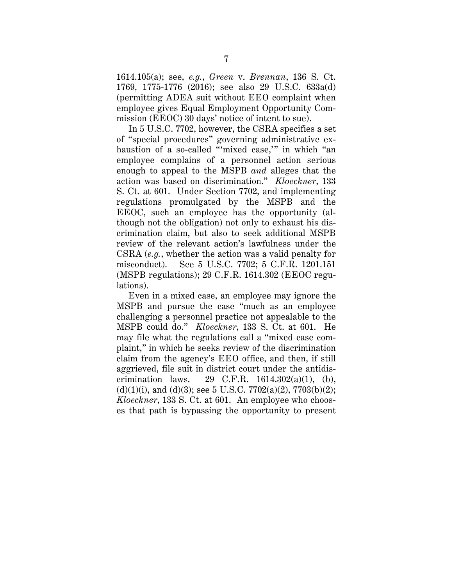1614.105(a); see, *e.g.*, *Green* v. *Brennan*, 136 S. Ct. 1769, 1775-1776 (2016); see also 29 U.S.C. 633a(d) (permitting ADEA suit without EEO complaint when employee gives Equal Employment Opportunity Commission (EEOC) 30 days' notice of intent to sue).

In 5 U.S.C. 7702, however, the CSRA specifies a set of "special procedures" governing administrative exhaustion of a so-called "'mixed case,'" in which "an employee complains of a personnel action serious enough to appeal to the MSPB *and* alleges that the action was based on discrimination." *Kloeckner*, 133 S. Ct. at 601. Under Section 7702, and implementing regulations promulgated by the MSPB and the EEOC, such an employee has the opportunity (although not the obligation) not only to exhaust his discrimination claim, but also to seek additional MSPB review of the relevant action's lawfulness under the CSRA (*e.g.*, whether the action was a valid penalty for misconduct). See 5 U.S.C. 7702; 5 C.F.R. 1201.151 (MSPB regulations); 29 C.F.R. 1614.302 (EEOC regulations).

Even in a mixed case, an employee may ignore the MSPB and pursue the case "much as an employee challenging a personnel practice not appealable to the MSPB could do." *Kloeckner*, 133 S. Ct. at 601. He may file what the regulations call a "mixed case complaint," in which he seeks review of the discrimination claim from the agency's EEO office, and then, if still aggrieved, file suit in district court under the antidiscrimination laws. 29 C.F.R.  $1614.302(a)(1)$ , (b),  $(d)(1)(i)$ , and  $(d)(3)$ ; see 5 U.S.C. 7702(a)(2), 7703(b)(2); *Kloeckner*, 133 S. Ct. at 601. An employee who chooses that path is bypassing the opportunity to present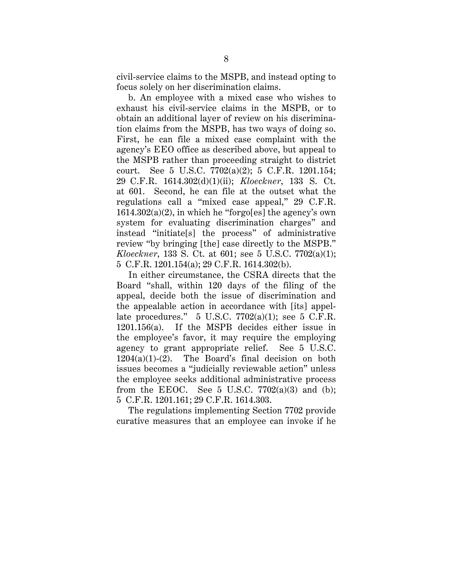civil-service claims to the MSPB, and instead opting to focus solely on her discrimination claims.

b. An employee with a mixed case who wishes to exhaust his civil-service claims in the MSPB, or to obtain an additional layer of review on his discrimination claims from the MSPB, has two ways of doing so. First, he can file a mixed case complaint with the agency's EEO office as described above, but appeal to the MSPB rather than proceeding straight to district court. See 5 U.S.C. 7702(a)(2); 5 C.F.R. 1201.154; 29 C.F.R. 1614.302(d)(1)(ii); *Kloeckner*, 133 S. Ct. at 601. Second, he can file at the outset what the regulations call a "mixed case appeal," 29 C.F.R.  $1614.302(a)(2)$ , in which he "forgo[es] the agency's own system for evaluating discrimination charges" and instead "initiate[s] the process" of administrative review "by bringing [the] case directly to the MSPB." *Kloeckner*, 133 S. Ct. at 601; see 5 U.S.C. 7702(a)(1); 5 C.F.R. 1201.154(a); 29 C.F.R. 1614.302(b).

In either circumstance, the CSRA directs that the Board "shall, within 120 days of the filing of the appeal, decide both the issue of discrimination and the appealable action in accordance with [its] appellate procedures."  $5 \text{ U.S.C. } 7702(a)(1)$ ; see  $5 \text{ C.F.R.}$ 1201.156(a). If the MSPB decides either issue in the employee's favor, it may require the employing agency to grant appropriate relief. See 5 U.S.C.  $1204(a)(1)-(2)$ . The Board's final decision on both issues becomes a "judicially reviewable action" unless the employee seeks additional administrative process from the EEOC. See 5 U.S.C.  $7702(a)(3)$  and (b); 5 C.F.R. 1201.161; 29 C.F.R. 1614.303.

The regulations implementing Section 7702 provide curative measures that an employee can invoke if he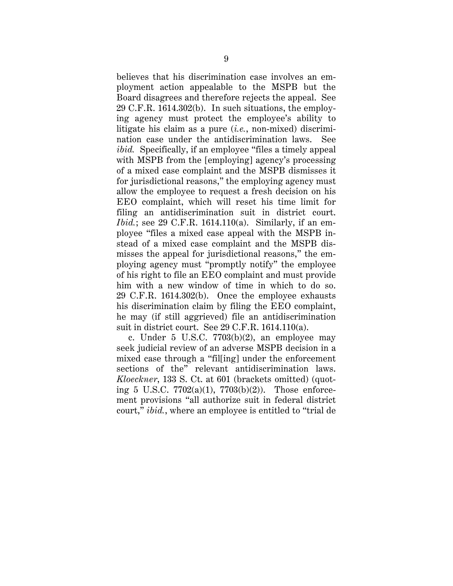believes that his discrimination case involves an employment action appealable to the MSPB but the Board disagrees and therefore rejects the appeal. See 29 C.F.R. 1614.302(b). In such situations, the employing agency must protect the employee's ability to litigate his claim as a pure (*i.e.*, non-mixed) discrimination case under the antidiscrimination laws. See *ibid.* Specifically, if an employee "files a timely appeal with MSPB from the [employing] agency's processing of a mixed case complaint and the MSPB dismisses it for jurisdictional reasons," the employing agency must allow the employee to request a fresh decision on his EEO complaint, which will reset his time limit for filing an antidiscrimination suit in district court. *Ibid.*; see 29 C.F.R. 1614.110(a). Similarly, if an employee "files a mixed case appeal with the MSPB instead of a mixed case complaint and the MSPB dismisses the appeal for jurisdictional reasons," the employing agency must "promptly notify" the employee of his right to file an EEO complaint and must provide him with a new window of time in which to do so. 29 C.F.R. 1614.302(b). Once the employee exhausts his discrimination claim by filing the EEO complaint, he may (if still aggrieved) file an antidiscrimination suit in district court. See 29 C.F.R. 1614.110(a).

c. Under  $5$  U.S.C.  $7703(b)(2)$ , an employee may seek judicial review of an adverse MSPB decision in a mixed case through a "fil[ing] under the enforcement sections of the" relevant antidiscrimination laws. *Kloeckner*, 133 S. Ct. at 601 (brackets omitted) (quoting 5 U.S.C.  $7702(a)(1)$ ,  $7703(b)(2)$ ). Those enforcement provisions "all authorize suit in federal district court," *ibid.*, where an employee is entitled to "trial de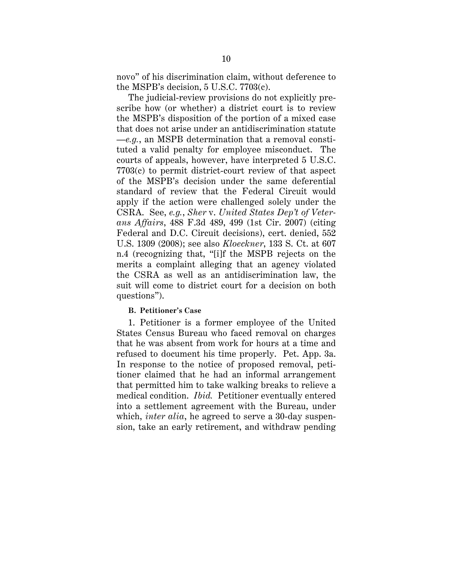novo" of his discrimination claim, without deference to the MSPB's decision, 5 U.S.C. 7703(c).

The judicial-review provisions do not explicitly prescribe how (or whether) a district court is to review the MSPB's disposition of the portion of a mixed case that does not arise under an antidiscrimination statute —*e.g.*, an MSPB determination that a removal constituted a valid penalty for employee misconduct. The courts of appeals, however, have interpreted 5 U.S.C. 7703(c) to permit district-court review of that aspect of the MSPB's decision under the same deferential standard of review that the Federal Circuit would apply if the action were challenged solely under the CSRA. See, *e.g.*, *Sher* v. *United States Dep't of Veterans Affairs*, 488 F.3d 489, 499 (1st Cir. 2007) (citing Federal and D.C. Circuit decisions), cert. denied, 552 U.S. 1309 (2008); see also *Kloeckner*, 133 S. Ct. at 607 n.4 (recognizing that, "[i]f the MSPB rejects on the merits a complaint alleging that an agency violated the CSRA as well as an antidiscrimination law, the suit will come to district court for a decision on both questions").

#### <span id="page-18-0"></span>**B. Petitioner's Case**

1. Petitioner is a former employee of the United States Census Bureau who faced removal on charges that he was absent from work for hours at a time and refused to document his time properly. Pet. App. 3a. In response to the notice of proposed removal, petitioner claimed that he had an informal arrangement that permitted him to take walking breaks to relieve a medical condition. *Ibid.* Petitioner eventually entered into a settlement agreement with the Bureau, under which, *inter alia*, he agreed to serve a 30-day suspension, take an early retirement, and withdraw pending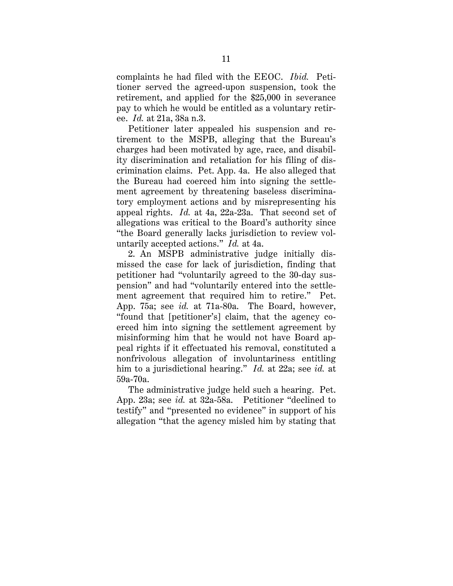complaints he had filed with the EEOC. *Ibid.* Petitioner served the agreed-upon suspension, took the retirement, and applied for the \$25,000 in severance pay to which he would be entitled as a voluntary retiree. *Id.* at 21a, 38a n.3.

Petitioner later appealed his suspension and retirement to the MSPB, alleging that the Bureau's charges had been motivated by age, race, and disability discrimination and retaliation for his filing of discrimination claims. Pet. App. 4a. He also alleged that the Bureau had coerced him into signing the settlement agreement by threatening baseless discriminatory employment actions and by misrepresenting his appeal rights. *Id.* at 4a, 22a-23a. That second set of allegations was critical to the Board's authority since "the Board generally lacks jurisdiction to review voluntarily accepted actions." *Id.* at 4a.

2. An MSPB administrative judge initially dismissed the case for lack of jurisdiction, finding that petitioner had "voluntarily agreed to the 30-day suspension" and had "voluntarily entered into the settlement agreement that required him to retire." Pet. App. 75a; see *id.* at 71a-80a. The Board, however, "found that [petitioner's] claim, that the agency coerced him into signing the settlement agreement by misinforming him that he would not have Board appeal rights if it effectuated his removal, constituted a nonfrivolous allegation of involuntariness entitling him to a jurisdictional hearing." *Id.* at 22a; see *id.* at 59a-70a.

The administrative judge held such a hearing. Pet. App. 23a; see *id.* at 32a-58a. Petitioner "declined to testify" and "presented no evidence" in support of his allegation "that the agency misled him by stating that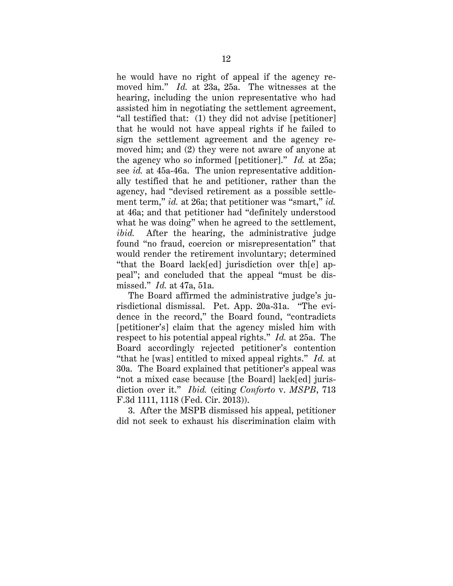he would have no right of appeal if the agency removed him." *Id.* at 23a, 25a. The witnesses at the hearing, including the union representative who had assisted him in negotiating the settlement agreement, "all testified that: (1) they did not advise [petitioner] that he would not have appeal rights if he failed to sign the settlement agreement and the agency removed him; and (2) they were not aware of anyone at the agency who so informed [petitioner]." *Id.* at 25a; see *id.* at 45a-46a. The union representative additionally testified that he and petitioner, rather than the agency, had "devised retirement as a possible settlement term," *id.* at 26a; that petitioner was "smart," *id.* at 46a; and that petitioner had "definitely understood what he was doing" when he agreed to the settlement, *ibid.* After the hearing, the administrative judge found "no fraud, coercion or misrepresentation" that would render the retirement involuntary; determined "that the Board lack[ed] jurisdiction over th[e] appeal"; and concluded that the appeal "must be dismissed." *Id.* at 47a, 51a.

The Board affirmed the administrative judge's jurisdictional dismissal. Pet. App. 20a-31a. "The evidence in the record," the Board found, "contradicts [petitioner's] claim that the agency misled him with respect to his potential appeal rights." *Id.* at 25a. The Board accordingly rejected petitioner's contention "that he [was] entitled to mixed appeal rights." *Id.* at 30a. The Board explained that petitioner's appeal was "not a mixed case because [the Board] lack[ed] jurisdiction over it." *Ibid.* (citing *Conforto* v. *MSPB*, 713 F.3d 1111, 1118 (Fed. Cir. 2013)).

3. After the MSPB dismissed his appeal, petitioner did not seek to exhaust his discrimination claim with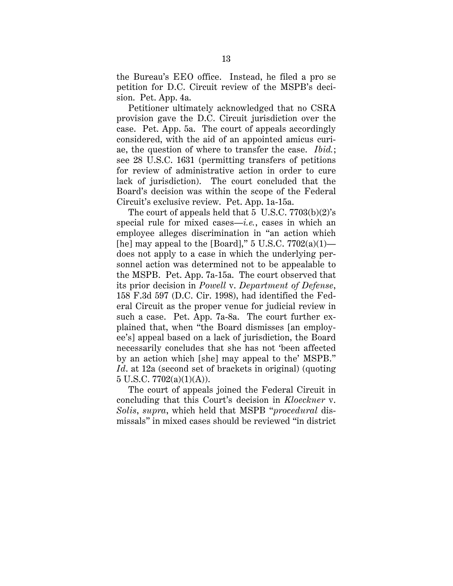the Bureau's EEO office. Instead, he filed a pro se petition for D.C. Circuit review of the MSPB's decision. Pet. App. 4a.

Petitioner ultimately acknowledged that no CSRA provision gave the D.C. Circuit jurisdiction over the case. Pet. App. 5a. The court of appeals accordingly considered, with the aid of an appointed amicus curiae, the question of where to transfer the case. *Ibid.*; see 28 U.S.C. 1631 (permitting transfers of petitions for review of administrative action in order to cure lack of jurisdiction). The court concluded that the Board's decision was within the scope of the Federal Circuit's exclusive review. Pet. App. 1a-15a.

The court of appeals held that 5 U.S.C. 7703(b)(2)'s special rule for mixed cases—*i.e.*, cases in which an employee alleges discrimination in "an action which [he] may appeal to the [Board]," 5 U.S.C.  $7702(a)(1)$  does not apply to a case in which the underlying personnel action was determined not to be appealable to the MSPB. Pet. App. 7a-15a. The court observed that its prior decision in *Powell* v. *Department of Defense*, 158 F.3d 597 (D.C. Cir. 1998), had identified the Federal Circuit as the proper venue for judicial review in such a case. Pet. App. 7a-8a. The court further explained that, when "the Board dismisses [an employee's] appeal based on a lack of jurisdiction, the Board necessarily concludes that she has not 'been affected by an action which [she] may appeal to the' MSPB." *Id*. at 12a (second set of brackets in original) (quoting  $5 \text{ U.S.C. } 7702(a)(1)(\text{A})).$ 

The court of appeals joined the Federal Circuit in concluding that this Court's decision in *Kloeckner* v. *Solis*, *supra*, which held that MSPB "*procedural* dismissals" in mixed cases should be reviewed "in district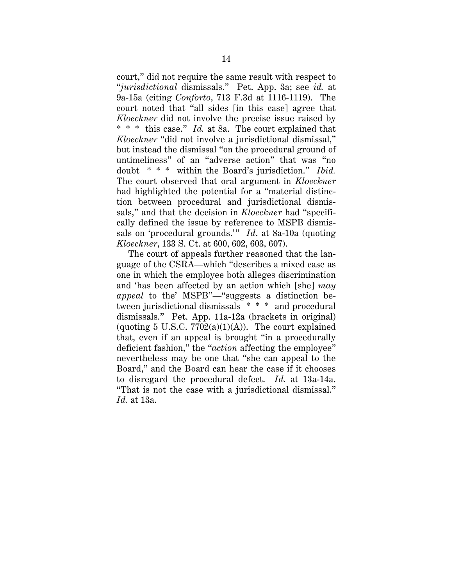court," did not require the same result with respect to "*jurisdictional* dismissals." Pet. App. 3a; see *id.* at 9a-15a (citing *Conforto*, 713 F.3d at 1116-1119). The court noted that "all sides [in this case] agree that *Kloeckner* did not involve the precise issue raised by \* \* \* this case." *Id.* at 8a. The court explained that *Kloeckner* "did not involve a jurisdictional dismissal," but instead the dismissal "on the procedural ground of untimeliness" of an "adverse action" that was "no doubt \* \* \* within the Board's jurisdiction." *Ibid.* The court observed that oral argument in *Kloeckner*  had highlighted the potential for a "material distinction between procedural and jurisdictional dismissals," and that the decision in *Kloeckner* had "specifically defined the issue by reference to MSPB dismissals on 'procedural grounds.'" *Id*. at 8a-10a (quoting *Kloeckner*, 133 S. Ct. at 600, 602, 603, 607).

The court of appeals further reasoned that the language of the CSRA—which "describes a mixed case as one in which the employee both alleges discrimination and 'has been affected by an action which [she] *may appeal* to the' MSPB"—"suggests a distinction between jurisdictional dismissals \* \* \* and procedural dismissals." Pet. App. 11a-12a (brackets in original) (quoting 5 U.S.C.  $7702(a)(1)(A)$ ). The court explained that, even if an appeal is brought "in a procedurally deficient fashion," the "*action* affecting the employee" nevertheless may be one that "she can appeal to the Board," and the Board can hear the case if it chooses to disregard the procedural defect. *Id.* at 13a-14a. "That is not the case with a jurisdictional dismissal." *Id.* at 13a.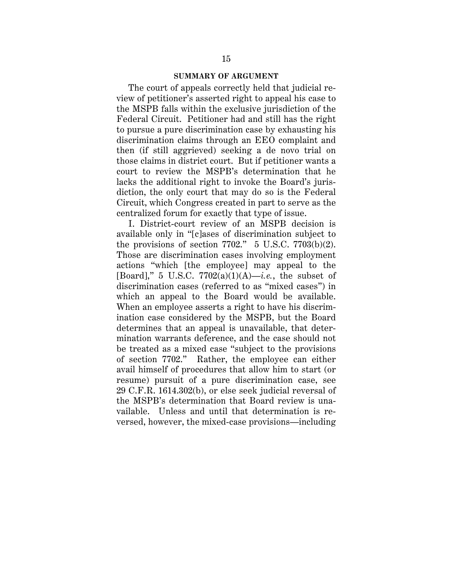#### **SUMMARY OF ARGUMENT**

<span id="page-23-0"></span>The court of appeals correctly held that judicial review of petitioner's asserted right to appeal his case to the MSPB falls within the exclusive jurisdiction of the Federal Circuit. Petitioner had and still has the right to pursue a pure discrimination case by exhausting his discrimination claims through an EEO complaint and then (if still aggrieved) seeking a de novo trial on those claims in district court. But if petitioner wants a court to review the MSPB's determination that he lacks the additional right to invoke the Board's jurisdiction, the only court that may do so is the Federal Circuit, which Congress created in part to serve as the centralized forum for exactly that type of issue.

I. District-court review of an MSPB decision is available only in "[c]ases of discrimination subject to the provisions of section  $7702$ ." 5 U.S.C.  $7703(b)(2)$ . Those are discrimination cases involving employment actions "which [the employee] may appeal to the [Board]," 5 U.S.C.  $7702(a)(1)(A)$ —*i.e.*, the subset of discrimination cases (referred to as "mixed cases") in which an appeal to the Board would be available. When an employee asserts a right to have his discrimination case considered by the MSPB, but the Board determines that an appeal is unavailable, that determination warrants deference, and the case should not be treated as a mixed case "subject to the provisions of section 7702." Rather, the employee can either avail himself of procedures that allow him to start (or resume) pursuit of a pure discrimination case, see 29 C.F.R. 1614.302(b), or else seek judicial reversal of the MSPB's determination that Board review is unavailable. Unless and until that determination is reversed, however, the mixed-case provisions—including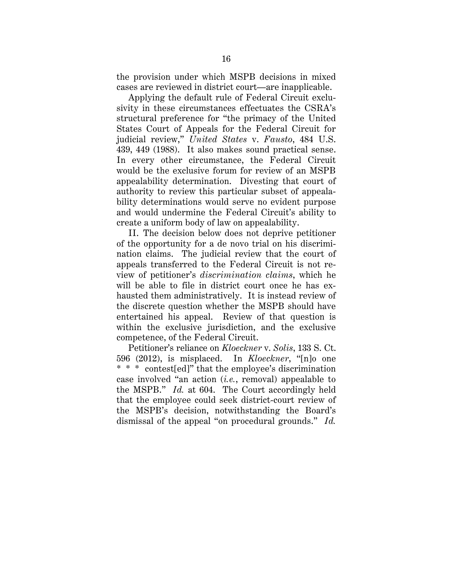the provision under which MSPB decisions in mixed cases are reviewed in district court—are inapplicable.

Applying the default rule of Federal Circuit exclusivity in these circumstances effectuates the CSRA's structural preference for "the primacy of the United States Court of Appeals for the Federal Circuit for judicial review," *United States* v. *Fausto*, 484 U.S. 439, 449 (1988). It also makes sound practical sense. In every other circumstance, the Federal Circuit would be the exclusive forum for review of an MSPB appealability determination. Divesting that court of authority to review this particular subset of appealability determinations would serve no evident purpose and would undermine the Federal Circuit's ability to create a uniform body of law on appealability.

II. The decision below does not deprive petitioner of the opportunity for a de novo trial on his discrimination claims. The judicial review that the court of appeals transferred to the Federal Circuit is not review of petitioner's *discrimination claims*, which he will be able to file in district court once he has exhausted them administratively. It is instead review of the discrete question whether the MSPB should have entertained his appeal. Review of that question is within the exclusive jurisdiction, and the exclusive competence, of the Federal Circuit.

Petitioner's reliance on *Kloeckner* v. *Solis*, 133 S. Ct. 596 (2012), is misplaced. In *Kloeckner*, "[n]o one \* \* \* contest[ed]" that the employee's discrimination case involved "an action (*i.e.*, removal) appealable to the MSPB." *Id.* at 604. The Court accordingly held that the employee could seek district-court review of the MSPB's decision, notwithstanding the Board's dismissal of the appeal "on procedural grounds." *Id.*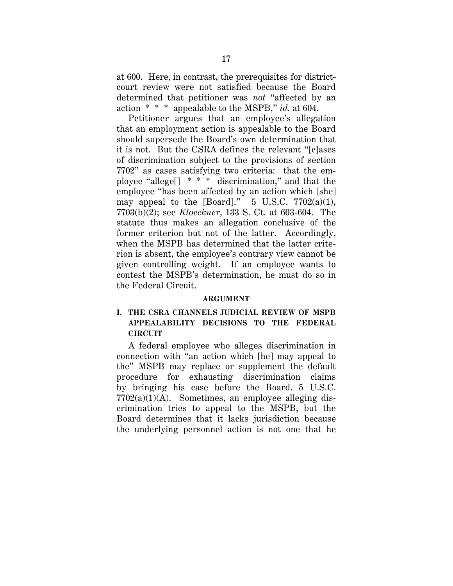at 600. Here, in contrast, the prerequisites for districtcourt review were not satisfied because the Board determined that petitioner was *not* "affected by an action \* \* \* appealable to the MSPB," *id.* at 604.

Petitioner argues that an employee's allegation that an employment action is appealable to the Board should supersede the Board's own determination that it is not. But the CSRA defines the relevant "[c]ases of discrimination subject to the provisions of section 7702" as cases satisfying two criteria: that the employee "allege[]\* \* \* discrimination," and that the employee "has been affected by an action which [she] may appeal to the [Board]."  $5 \text{ U.S.C. } 7702(a)(1)$ , 7703(b)(2); see *Kloeckner*, 133 S. Ct. at 603-604. The statute thus makes an allegation conclusive of the former criterion but not of the latter. Accordingly, when the MSPB has determined that the latter criterion is absent, the employee's contrary view cannot be given controlling weight. If an employee wants to contest the MSPB's determination, he must do so in the Federal Circuit.

#### **ARGUMENT**

# <span id="page-25-1"></span><span id="page-25-0"></span>**I. THE CSRA CHANNELS JUDICIAL REVIEW OF MSPB APPEALABILITY DECISIONS TO THE FEDERAL CIRCUIT**

A federal employee who alleges discrimination in connection with "an action which [he] may appeal to the" MSPB may replace or supplement the default procedure for exhausting discrimination claims by bringing his case before the Board. 5 U.S.C.  $7702(a)(1)(A)$ . Sometimes, an employee alleging discrimination tries to appeal to the MSPB, but the Board determines that it lacks jurisdiction because the underlying personnel action is not one that he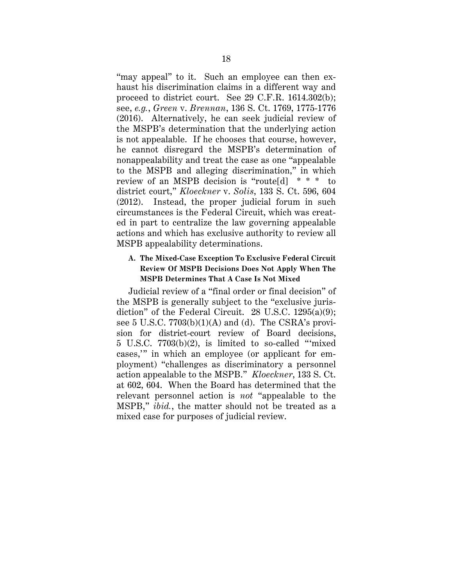"may appeal" to it. Such an employee can then exhaust his discrimination claims in a different way and proceed to district court. See 29 C.F.R. 1614.302(b); see, *e.g.*, *Green* v. *Brennan*, 136 S. Ct. 1769, 1775-1776 (2016). Alternatively, he can seek judicial review of the MSPB's determination that the underlying action is not appealable. If he chooses that course, however, he cannot disregard the MSPB's determination of nonappealability and treat the case as one "appealable to the MSPB and alleging discrimination," in which review of an MSPB decision is "route[d] \* \* \* to district court," *Kloeckner* v. *Solis*, 133 S. Ct. 596, 604 (2012). Instead, the proper judicial forum in such circumstances is the Federal Circuit, which was created in part to centralize the law governing appealable actions and which has exclusive authority to review all MSPB appealability determinations.

### <span id="page-26-0"></span>**A. The Mixed-Case Exception To Exclusive Federal Circuit Review Of MSPB Decisions Does Not Apply When The MSPB Determines That A Case Is Not Mixed**

Judicial review of a "final order or final decision" of the MSPB is generally subject to the "exclusive jurisdiction" of the Federal Circuit. 28 U.S.C. 1295(a)(9); see 5 U.S.C. 7703(b)(1)(A) and (d). The CSRA's provision for district-court review of Board decisions, 5 U.S.C. 7703(b)(2), is limited to so-called "'mixed cases,'" in which an employee (or applicant for employment) "challenges as discriminatory a personnel action appealable to the MSPB." *Kloeckner*, 133 S. Ct. at 602, 604. When the Board has determined that the relevant personnel action is *not* "appealable to the MSPB," *ibid.*, the matter should not be treated as a mixed case for purposes of judicial review.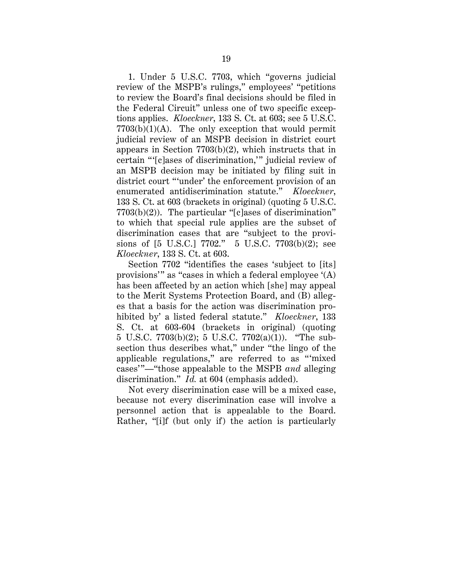1. Under 5 U.S.C. 7703, which "governs judicial review of the MSPB's rulings," employees' "petitions to review the Board's final decisions should be filed in the Federal Circuit" unless one of two specific exceptions applies. *Kloeckner*, 133 S. Ct. at 603; see 5 U.S.C.  $7703(b)(1)(A)$ . The only exception that would permit judicial review of an MSPB decision in district court appears in Section 7703(b)(2), which instructs that in certain "'[c]ases of discrimination,'" judicial review of an MSPB decision may be initiated by filing suit in district court "'under' the enforcement provision of an enumerated antidiscrimination statute." *Kloeckner*, 133 S. Ct. at 603 (brackets in original) (quoting 5 U.S.C. 7703(b)(2)). The particular "[c]ases of discrimination" to which that special rule applies are the subset of discrimination cases that are "subject to the provisions of [5 U.S.C.] 7702." 5 U.S.C. 7703(b)(2); see *Kloeckner*, 133 S. Ct. at 603.

Section 7702 "identifies the cases 'subject to [its] provisions'" as "cases in which a federal employee '(A) has been affected by an action which [she] may appeal to the Merit Systems Protection Board, and (B) alleges that a basis for the action was discrimination prohibited by' a listed federal statute." *Kloeckner*, 133 S. Ct. at 603-604 (brackets in original) (quoting 5 U.S.C. 7703(b)(2); 5 U.S.C. 7702(a)(1)). "The subsection thus describes what," under "the lingo of the applicable regulations," are referred to as "'mixed cases'"—"those appealable to the MSPB *and* alleging discrimination." *Id.* at 604 (emphasis added).

Not every discrimination case will be a mixed case, because not every discrimination case will involve a personnel action that is appealable to the Board. Rather, "[i]f (but only if) the action is particularly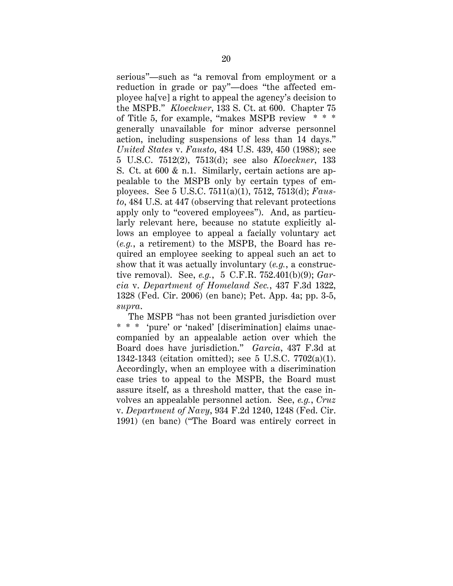serious"—such as "a removal from employment or a reduction in grade or pay"—does "the affected employee ha[ve] a right to appeal the agency's decision to the MSPB." *Kloeckner*, 133 S. Ct. at 600. Chapter 75 of Title 5, for example, "makes MSPB review \* \* \* generally unavailable for minor adverse personnel action, including suspensions of less than 14 days." *United States* v. *Fausto*, 484 U.S. 439, 450 (1988); see 5 U.S.C. 7512(2), 7513(d); see also *Kloeckner*, 133 S. Ct. at 600 & n.1. Similarly, certain actions are appealable to the MSPB only by certain types of employees. See 5 U.S.C. 7511(a)(1), 7512, 7513(d); *Fausto*, 484 U.S. at 447 (observing that relevant protections apply only to "covered employees"). And, as particularly relevant here, because no statute explicitly allows an employee to appeal a facially voluntary act (*e.g.*, a retirement) to the MSPB, the Board has required an employee seeking to appeal such an act to show that it was actually involuntary (*e.g.*, a constructive removal). See, *e.g.*, 5 C.F.R. 752.401(b)(9); *Garcia* v. *Department of Homeland Sec.*, 437 F.3d 1322, 1328 (Fed. Cir. 2006) (en banc); Pet. App. 4a; pp. 3-5, *supra*.

The MSPB "has not been granted jurisdiction over \* \* \* 'pure' or 'naked' [discrimination] claims unaccompanied by an appealable action over which the Board does have jurisdiction." *Garcia*, 437 F.3d at 1342-1343 (citation omitted); see 5 U.S.C. 7702(a)(1). Accordingly, when an employee with a discrimination case tries to appeal to the MSPB, the Board must assure itself, as a threshold matter, that the case involves an appealable personnel action. See, *e.g.*, *Cruz* v. *Department of Navy*, 934 F.2d 1240, 1248 (Fed. Cir. 1991) (en banc) ("The Board was entirely correct in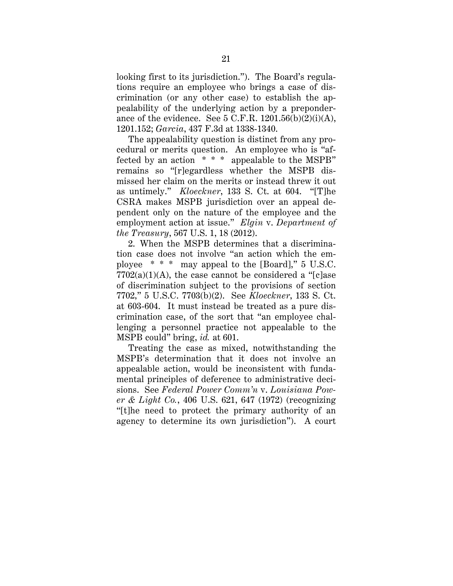looking first to its jurisdiction."). The Board's regulations require an employee who brings a case of discrimination (or any other case) to establish the appealability of the underlying action by a preponderance of the evidence. See  $5$  C.F.R.  $1201.56(b)(2)(i)(A)$ , 1201.152; *Garcia*, 437 F.3d at 1338-1340.

The appealability question is distinct from any procedural or merits question. An employee who is "affected by an action \* \* \* appealable to the MSPB" remains so "[r]egardless whether the MSPB dismissed her claim on the merits or instead threw it out as untimely." *Kloeckner*, 133 S. Ct. at 604. "[T]he CSRA makes MSPB jurisdiction over an appeal dependent only on the nature of the employee and the employment action at issue." *Elgin* v. *Department of the Treasury*, 567 U.S. 1, 18 (2012).

2. When the MSPB determines that a discrimination case does not involve "an action which the employee \* \* \* may appeal to the [Board]," 5 U.S.C.  $7702(a)(1)(A)$ , the case cannot be considered a "[c]ase of discrimination subject to the provisions of section 7702," 5 U.S.C. 7703(b)(2). See *Kloeckner*, 133 S. Ct. at 603-604. It must instead be treated as a pure discrimination case, of the sort that "an employee challenging a personnel practice not appealable to the MSPB could" bring, *id.* at 601.

Treating the case as mixed, notwithstanding the MSPB's determination that it does not involve an appealable action, would be inconsistent with fundamental principles of deference to administrative decisions. See *Federal Power Comm'n* v. *Louisiana Power & Light Co.*, 406 U.S. 621, 647 (1972) (recognizing "[t]he need to protect the primary authority of an agency to determine its own jurisdiction"). A court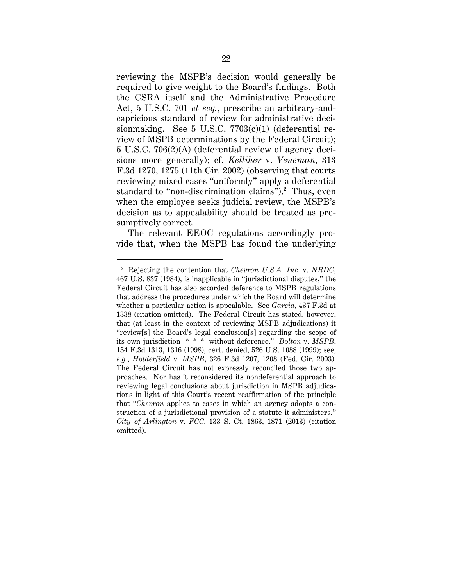reviewing the MSPB's decision would generally be required to give weight to the Board's findings. Both the CSRA itself and the Administrative Procedure Act, 5 U.S.C. 701 *et seq.*, prescribe an arbitrary-andcapricious standard of review for administrative decisionmaking. See  $5$  U.S.C.  $7703(c)(1)$  (deferential review of MSPB determinations by the Federal Circuit); 5 U.S.C. 706(2)(A) (deferential review of agency decisions more generally); cf. *Kelliher* v. *Veneman*, 313 F.3d 1270, 1275 (11th Cir. 2002) (observing that courts reviewing mixed cases "uniformly" apply a deferential standard to "non-discrimination claims").<sup>[2](#page-30-0)</sup> Thus, even when the employee seeks judicial review, the MSPB's decision as to appealability should be treated as presumptively correct.

The relevant EEOC regulations accordingly provide that, when the MSPB has found the underlying

<span id="page-30-0"></span> <sup>2</sup> Rejecting the contention that *Chevron U.S.A. Inc.* v. *NRDC*, 467 U.S. 837 (1984), is inapplicable in "jurisdictional disputes," the Federal Circuit has also accorded deference to MSPB regulations that address the procedures under which the Board will determine whether a particular action is appealable. See *Garcia*, 437 F.3d at 1338 (citation omitted). The Federal Circuit has stated, however, that (at least in the context of reviewing MSPB adjudications) it "review[s] the Board's legal conclusion[s] regarding the scope of its own jurisdiction \* \* \* without deference." *Bolton* v. *MSPB*, 154 F.3d 1313, 1316 (1998), cert. denied, 526 U.S. 1088 (1999); see, *e.g.*, *Holderfield* v. *MSPB*, 326 F.3d 1207, 1208 (Fed. Cir. 2003). The Federal Circuit has not expressly reconciled those two approaches. Nor has it reconsidered its nondeferential approach to reviewing legal conclusions about jurisdiction in MSPB adjudications in light of this Court's recent reaffirmation of the principle that "*Chevron* applies to cases in which an agency adopts a construction of a jurisdictional provision of a statute it administers." *City of Arlington* v. *FCC*, 133 S. Ct. 1863, 1871 (2013) (citation omitted).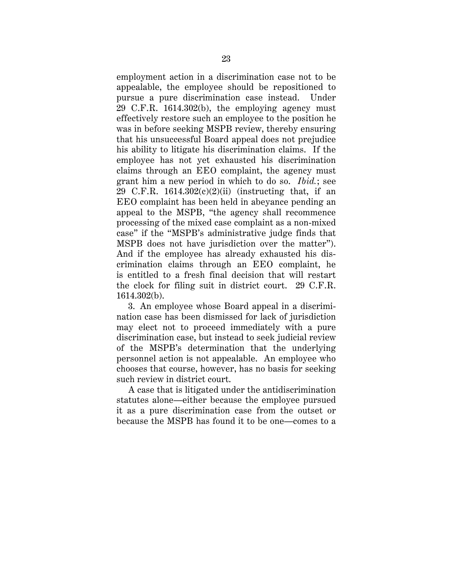employment action in a discrimination case not to be appealable, the employee should be repositioned to pursue a pure discrimination case instead. Under 29 C.F.R. 1614.302(b), the employing agency must effectively restore such an employee to the position he was in before seeking MSPB review, thereby ensuring that his unsuccessful Board appeal does not prejudice his ability to litigate his discrimination claims. If the employee has not yet exhausted his discrimination claims through an EEO complaint, the agency must grant him a new period in which to do so. *Ibid.*; see 29 C.F.R. 1614.302(c)(2)(ii) (instructing that, if an EEO complaint has been held in abeyance pending an appeal to the MSPB, "the agency shall recommence processing of the mixed case complaint as a non-mixed case" if the "MSPB's administrative judge finds that MSPB does not have jurisdiction over the matter"). And if the employee has already exhausted his discrimination claims through an EEO complaint, he is entitled to a fresh final decision that will restart the clock for filing suit in district court. 29 C.F.R. 1614.302(b).

3. An employee whose Board appeal in a discrimination case has been dismissed for lack of jurisdiction may elect not to proceed immediately with a pure discrimination case, but instead to seek judicial review of the MSPB's determination that the underlying personnel action is not appealable. An employee who chooses that course, however, has no basis for seeking such review in district court.

A case that is litigated under the antidiscrimination statutes alone—either because the employee pursued it as a pure discrimination case from the outset or because the MSPB has found it to be one—comes to a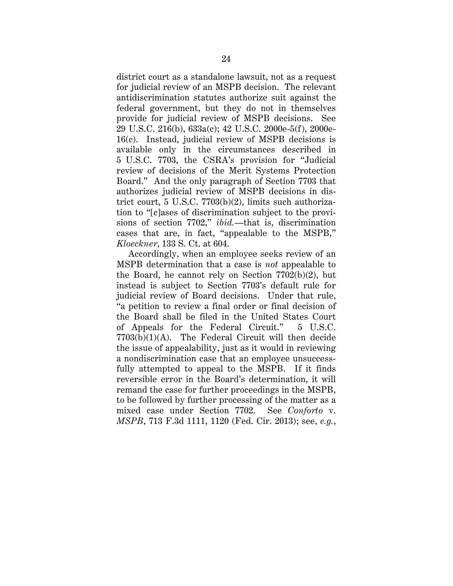district court as a standalone lawsuit, not as a request for judicial review of an MSPB decision. The relevant antidiscrimination statutes authorize suit against the federal government, but they do not in themselves provide for judicial review of MSPB decisions. See 29 U.S.C. 216(b), 633a(c); 42 U.S.C. 2000e-5(f), 2000e-16(c). Instead, judicial review of MSPB decisions is available only in the circumstances described in 5 U.S.C. 7703, the CSRA's provision for "Judicial review of decisions of the Merit Systems Protection Board." And the only paragraph of Section 7703 that authorizes judicial review of MSPB decisions in district court, 5 U.S.C. 7703(b)(2), limits such authorization to "[c]ases of discrimination subject to the provisions of section 7702," *ibid.*—that is, discrimination cases that are, in fact, "appealable to the MSPB," *Kloeckner*, 133 S. Ct. at 604.

Accordingly, when an employee seeks review of an MSPB determination that a case is *not* appealable to the Board, he cannot rely on Section 7702(b)(2), but instead is subject to Section 7703's default rule for judicial review of Board decisions. Under that rule, "a petition to review a final order or final decision of the Board shall be filed in the United States Court of Appeals for the Federal Circuit." 5 U.S.C. 7703(b)(1)(A). The Federal Circuit will then decide the issue of appealability, just as it would in reviewing a nondiscrimination case that an employee unsuccessfully attempted to appeal to the MSPB. If it finds reversible error in the Board's determination, it will remand the case for further proceedings in the MSPB, to be followed by further processing of the matter as a mixed case under Section 7702. See *Conforto* v. *MSPB*, 713 F.3d 1111, 1120 (Fed. Cir. 2013); see, *e.g.*,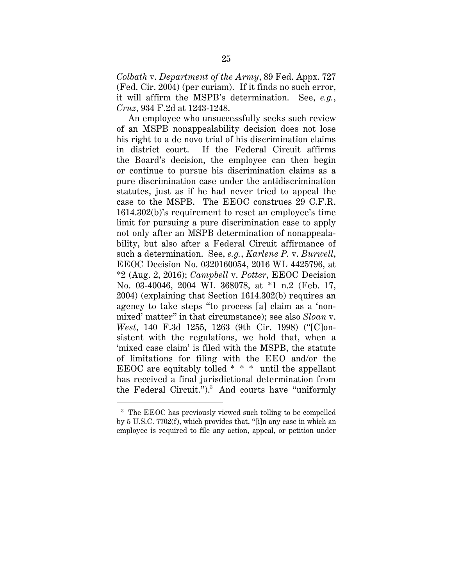*Colbath* v. *Department of the Army*, 89 Fed. Appx. 727 (Fed. Cir. 2004) (per curiam). If it finds no such error, it will affirm the MSPB's determination. See, *e.g.*, *Cruz*, 934 F.2d at 1243-1248.

An employee who unsuccessfully seeks such review of an MSPB nonappealability decision does not lose his right to a de novo trial of his discrimination claims in district court. If the Federal Circuit affirms the Board's decision, the employee can then begin or continue to pursue his discrimination claims as a pure discrimination case under the antidiscrimination statutes, just as if he had never tried to appeal the case to the MSPB. The EEOC construes 29 C.F.R. 1614.302(b)'s requirement to reset an employee's time limit for pursuing a pure discrimination case to apply not only after an MSPB determination of nonappealability, but also after a Federal Circuit affirmance of such a determination. See, *e.g.*, *Karlene P.* v. *Burwell*, EEOC Decision No. 0320160054, 2016 WL 4425796, at \*2 (Aug. 2, 2016); *Campbell* v. *Potter*, EEOC Decision No. 03-40046, 2004 WL 368078, at \*1 n.2 (Feb. 17, 2004) (explaining that Section 1614.302(b) requires an agency to take steps "to process [a] claim as a 'nonmixed' matter" in that circumstance); see also *Sloan* v. *West*, 140 F.3d 1255, 1263 (9th Cir. 1998) ("[C]onsistent with the regulations, we hold that, when a 'mixed case claim' is filed with the MSPB, the statute of limitations for filing with the EEO and/or the EEOC are equitably tolled  $* * *$  until the appellant has received a final jurisdictional determination from the Federal Circuit.").<sup>[3](#page-33-0)</sup> And courts have "uniformly

<span id="page-33-0"></span><sup>&</sup>lt;sup>3</sup> The EEOC has previously viewed such tolling to be compelled by 5 U.S.C. 7702(f), which provides that, "[i]n any case in which an employee is required to file any action, appeal, or petition under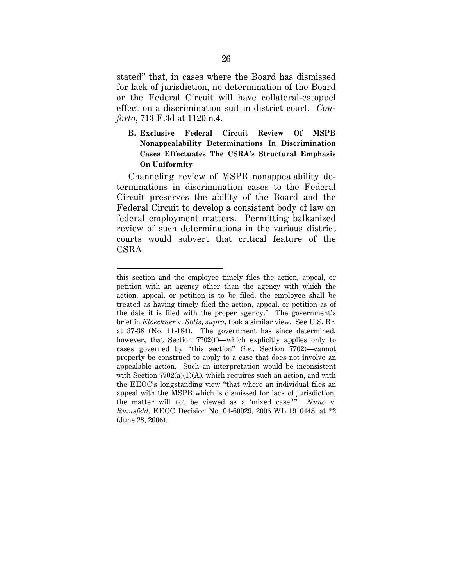stated" that, in cases where the Board has dismissed for lack of jurisdiction, no determination of the Board or the Federal Circuit will have collateral-estoppel effect on a discrimination suit in district court. *Conforto*, 713 F.3d at 1120 n.4.

<span id="page-34-0"></span>**B. Exclusive Federal Circuit Review Of MSPB Nonappealability Determinations In Discrimination Cases Effectuates The CSRA's Structural Emphasis On Uniformity**

Channeling review of MSPB nonappealability determinations in discrimination cases to the Federal Circuit preserves the ability of the Board and the Federal Circuit to develop a consistent body of law on federal employment matters. Permitting balkanized review of such determinations in the various district courts would subvert that critical feature of the CSRA.

 $\ddot{\phantom{a}}$ 

this section and the employee timely files the action, appeal, or petition with an agency other than the agency with which the action, appeal, or petition is to be filed, the employee shall be treated as having timely filed the action, appeal, or petition as of the date it is filed with the proper agency." The government's brief in *Kloeckner* v. *Solis*, *supra*, took a similar view. See U.S. Br. at 37-38 (No. 11-184). The government has since determined, however, that Section 7702(f)—which explicitly applies only to cases governed by "this section" (*i.e.*, Section 7702)—cannot properly be construed to apply to a case that does not involve an appealable action. Such an interpretation would be inconsistent with Section  $7702(a)(1)(A)$ , which requires such an action, and with the EEOC's longstanding view "that where an individual files an appeal with the MSPB which is dismissed for lack of jurisdiction, the matter will not be viewed as a 'mixed case.'" *Nuno* v. *Rumsfeld*, EEOC Decision No. 04-60029, 2006 WL 1910448, at \*2 (June 28, 2006).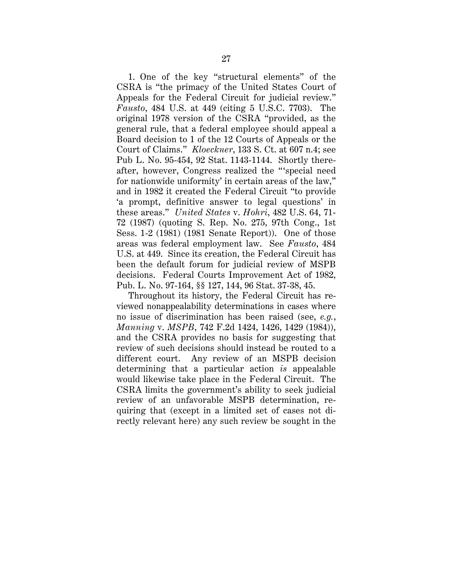1. One of the key "structural elements" of the CSRA is "the primacy of the United States Court of Appeals for the Federal Circuit for judicial review." *Fausto*, 484 U.S. at 449 (citing 5 U.S.C. 7703). The original 1978 version of the CSRA "provided, as the general rule, that a federal employee should appeal a Board decision to 1 of the 12 Courts of Appeals or the Court of Claims." *Kloeckner*, 133 S. Ct. at 607 n.4; see Pub L. No. 95-454, 92 Stat. 1143-1144. Shortly thereafter, however, Congress realized the "'special need for nationwide uniformity' in certain areas of the law," and in 1982 it created the Federal Circuit "to provide 'a prompt, definitive answer to legal questions' in these areas." *United States* v. *Hohri*, 482 U.S. 64, 71- 72 (1987) (quoting S. Rep. No. 275, 97th Cong., 1st Sess. 1-2 (1981) (1981 Senate Report)). One of those areas was federal employment law. See *Fausto*, 484 U.S. at 449. Since its creation, the Federal Circuit has been the default forum for judicial review of MSPB decisions. Federal Courts Improvement Act of 1982, Pub. L. No. 97-164, §§ 127, 144, 96 Stat. 37-38, 45.

Throughout its history, the Federal Circuit has reviewed nonappealability determinations in cases where no issue of discrimination has been raised (see, *e.g.*, *Manning* v. *MSPB*, 742 F.2d 1424, 1426, 1429 (1984)), and the CSRA provides no basis for suggesting that review of such decisions should instead be routed to a different court. Any review of an MSPB decision determining that a particular action *is* appealable would likewise take place in the Federal Circuit. The CSRA limits the government's ability to seek judicial review of an unfavorable MSPB determination, requiring that (except in a limited set of cases not directly relevant here) any such review be sought in the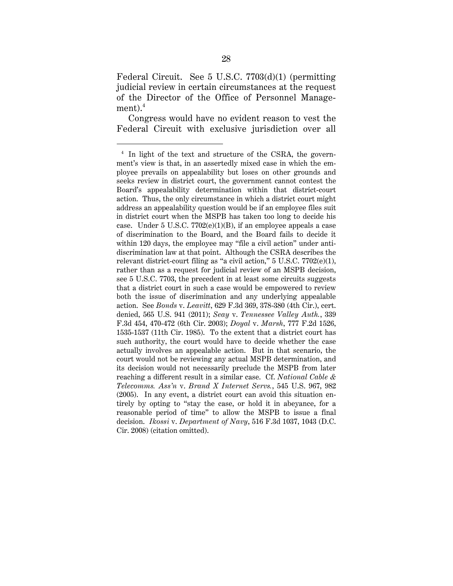Federal Circuit. See 5 U.S.C. 7703(d)(1) (permitting judicial review in certain circumstances at the request of the Director of the Office of Personnel Management). $^4\,$  $^4\,$  $^4\,$ 

Congress would have no evident reason to vest the Federal Circuit with exclusive jurisdiction over all

<span id="page-36-0"></span><sup>&</sup>lt;sup>4</sup> In light of the text and structure of the CSRA, the government's view is that, in an assertedly mixed case in which the employee prevails on appealability but loses on other grounds and seeks review in district court, the government cannot contest the Board's appealability determination within that district-court action. Thus, the only circumstance in which a district court might address an appealability question would be if an employee files suit in district court when the MSPB has taken too long to decide his case. Under 5 U.S.C.  $7702(e)(1)(B)$ , if an employee appeals a case of discrimination to the Board, and the Board fails to decide it within 120 days, the employee may "file a civil action" under antidiscrimination law at that point. Although the CSRA describes the relevant district-court filing as "a civil action,"  $5 \text{ U.S.C. } 7702(\text{e})(1)$ , rather than as a request for judicial review of an MSPB decision, see 5 U.S.C. 7703, the precedent in at least some circuits suggests that a district court in such a case would be empowered to review both the issue of discrimination and any underlying appealable action. See *Bonds* v. *Leavitt*, 629 F.3d 369, 378-380 (4th Cir.), cert. denied, 565 U.S. 941 (2011); *Seay* v. *Tennessee Valley Auth.*, 339 F.3d 454, 470-472 (6th Cir. 2003); *Doyal* v. *Marsh*, 777 F.2d 1526, 1535-1537 (11th Cir. 1985). To the extent that a district court has such authority, the court would have to decide whether the case actually involves an appealable action. But in that scenario, the court would not be reviewing any actual MSPB determination, and its decision would not necessarily preclude the MSPB from later reaching a different result in a similar case. Cf. *National Cable & Telecomms. Ass'n* v. *Brand X Internet Servs.*, 545 U.S. 967, 982 (2005). In any event, a district court can avoid this situation entirely by opting to "stay the case, or hold it in abeyance, for a reasonable period of time" to allow the MSPB to issue a final decision. *Ikossi* v. *Department of Navy*, 516 F.3d 1037, 1043 (D.C. Cir. 2008) (citation omitted).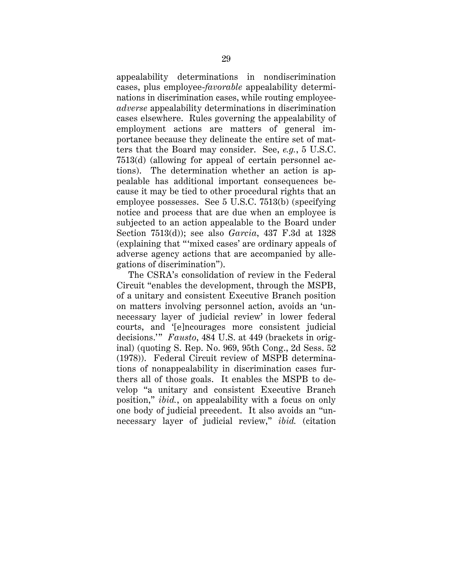appealability determinations in nondiscrimination cases, plus employee-*favorable* appealability determinations in discrimination cases, while routing employee*adverse* appealability determinations in discrimination cases elsewhere. Rules governing the appealability of employment actions are matters of general importance because they delineate the entire set of matters that the Board may consider. See, *e.g.*, 5 U.S.C. 7513(d) (allowing for appeal of certain personnel actions). The determination whether an action is appealable has additional important consequences because it may be tied to other procedural rights that an employee possesses. See 5 U.S.C. 7513(b) (specifying notice and process that are due when an employee is subjected to an action appealable to the Board under Section 7513(d)); see also *Garcia*, 437 F.3d at 1328 (explaining that "'mixed cases' are ordinary appeals of adverse agency actions that are accompanied by allegations of discrimination").

The CSRA's consolidation of review in the Federal Circuit "enables the development, through the MSPB, of a unitary and consistent Executive Branch position on matters involving personnel action, avoids an 'unnecessary layer of judicial review' in lower federal courts, and '[e]ncourages more consistent judicial decisions.'" *Fausto*, 484 U.S. at 449 (brackets in original) (quoting S. Rep. No. 969, 95th Cong., 2d Sess. 52 (1978)). Federal Circuit review of MSPB determinations of nonappealability in discrimination cases furthers all of those goals. It enables the MSPB to develop "a unitary and consistent Executive Branch position," *ibid.*, on appealability with a focus on only one body of judicial precedent. It also avoids an "unnecessary layer of judicial review," *ibid.* (citation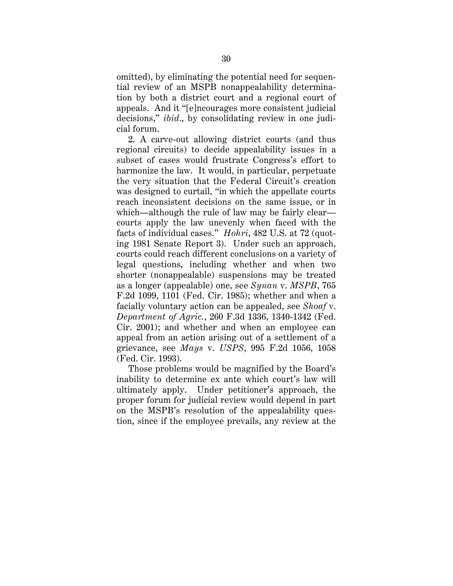omitted), by eliminating the potential need for sequential review of an MSPB nonappealability determination by both a district court and a regional court of appeals. And it "[e]ncourages more consistent judicial decisions," *ibid*., by consolidating review in one judicial forum.

2. A carve-out allowing district courts (and thus regional circuits) to decide appealability issues in a subset of cases would frustrate Congress's effort to harmonize the law. It would, in particular, perpetuate the very situation that the Federal Circuit's creation was designed to curtail, "in which the appellate courts reach inconsistent decisions on the same issue, or in which—although the rule of law may be fairly clear courts apply the law unevenly when faced with the facts of individual cases." *Hohri*, 482 U.S. at 72 (quoting 1981 Senate Report 3). Under such an approach, courts could reach different conclusions on a variety of legal questions, including whether and when two shorter (nonappealable) suspensions may be treated as a longer (appealable) one, see *Synan* v. *MSPB*, 765 F.2d 1099, 1101 (Fed. Cir. 1985); whether and when a facially voluntary action can be appealed, see *Shoaf* v. *Department of Agric.*, 260 F.3d 1336, 1340-1342 (Fed. Cir. 2001); and whether and when an employee can appeal from an action arising out of a settlement of a grievance, see *Mays* v. *USPS*, 995 F.2d 1056, 1058 (Fed. Cir. 1993).

Those problems would be magnified by the Board's inability to determine ex ante which court's law will ultimately apply. Under petitioner's approach, the proper forum for judicial review would depend in part on the MSPB's resolution of the appealability question, since if the employee prevails, any review at the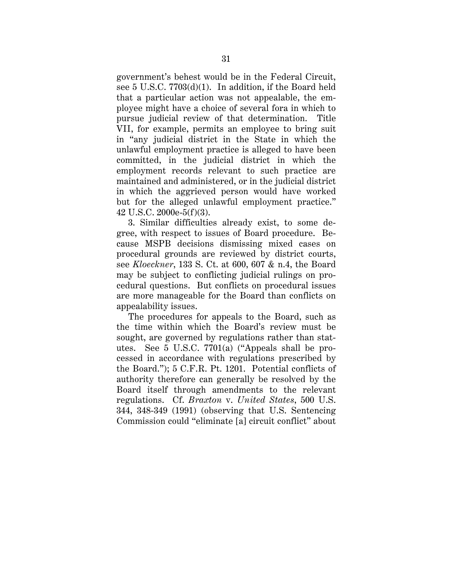government's behest would be in the Federal Circuit, see 5 U.S.C. 7703(d)(1). In addition, if the Board held that a particular action was not appealable, the employee might have a choice of several fora in which to pursue judicial review of that determination. Title VII, for example, permits an employee to bring suit in "any judicial district in the State in which the unlawful employment practice is alleged to have been committed, in the judicial district in which the employment records relevant to such practice are maintained and administered, or in the judicial district in which the aggrieved person would have worked but for the alleged unlawful employment practice." 42 U.S.C. 2000e-5(f)(3).

3. Similar difficulties already exist, to some degree, with respect to issues of Board procedure. Because MSPB decisions dismissing mixed cases on procedural grounds are reviewed by district courts, see *Kloeckner*, 133 S. Ct. at 600, 607 & n.4, the Board may be subject to conflicting judicial rulings on procedural questions. But conflicts on procedural issues are more manageable for the Board than conflicts on appealability issues.

The procedures for appeals to the Board, such as the time within which the Board's review must be sought, are governed by regulations rather than statutes. See 5 U.S.C. 7701(a) ("Appeals shall be processed in accordance with regulations prescribed by the Board."); 5 C.F.R. Pt. 1201. Potential conflicts of authority therefore can generally be resolved by the Board itself through amendments to the relevant regulations. Cf. *Braxton* v. *United States*, 500 U.S. 344, 348-349 (1991) (observing that U.S. Sentencing Commission could "eliminate [a] circuit conflict" about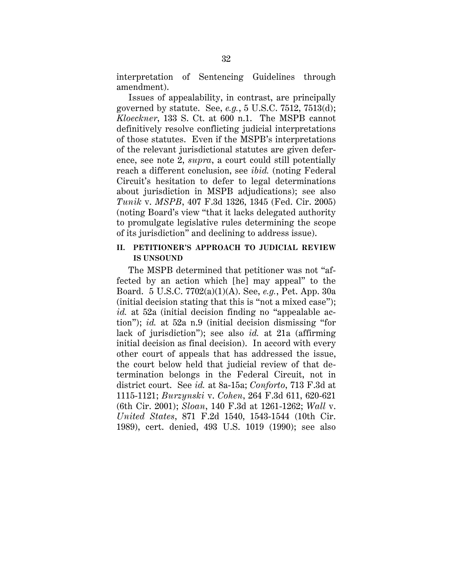interpretation of Sentencing Guidelines through amendment).

Issues of appealability, in contrast, are principally governed by statute. See, *e.g.*, 5 U.S.C. 7512, 7513(d); *Kloeckner*, 133 S. Ct. at 600 n.1. The MSPB cannot definitively resolve conflicting judicial interpretations of those statutes. Even if the MSPB's interpretations of the relevant jurisdictional statutes are given deference, see note 2, *supra*, a court could still potentially reach a different conclusion, see *ibid.* (noting Federal Circuit's hesitation to defer to legal determinations about jurisdiction in MSPB adjudications); see also *Tunik* v. *MSPB*, 407 F.3d 1326, 1345 (Fed. Cir. 2005) (noting Board's view "that it lacks delegated authority to promulgate legislative rules determining the scope of its jurisdiction" and declining to address issue).

## **II. PETITIONER'S APPROACH TO JUDICIAL REVIEW IS UNSOUND**

The MSPB determined that petitioner was not "affected by an action which [he] may appeal" to the Board. 5 U.S.C. 7702(a)(1)(A). See, *e.g.*, Pet. App. 30a (initial decision stating that this is "not a mixed case"); *id.* at 52a (initial decision finding no "appealable action"); *id.* at 52a n.9 (initial decision dismissing "for lack of jurisdiction"); see also *id.* at 21a (affirming initial decision as final decision). In accord with every other court of appeals that has addressed the issue, the court below held that judicial review of that determination belongs in the Federal Circuit, not in district court. See *id.* at 8a-15a; *Conforto*, 713 F.3d at 1115-1121; *Burzynski* v. *Cohen*, 264 F.3d 611, 620-621 (6th Cir. 2001); *Sloan*, 140 F.3d at 1261-1262; *Wall* v. *United States*, 871 F.2d 1540, 1543-1544 (10th Cir. 1989), cert. denied, 493 U.S. 1019 (1990); see also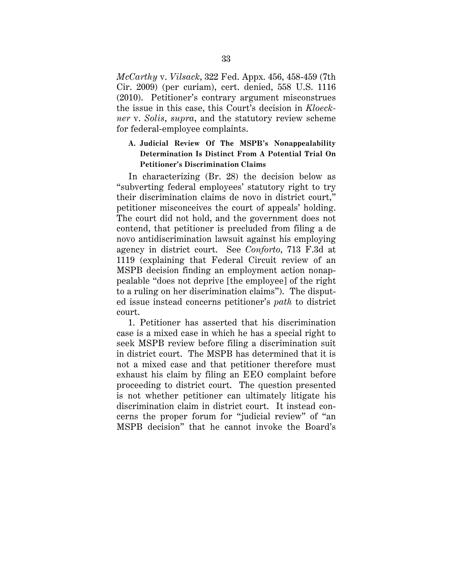*McCarthy* v. *Vilsack*, 322 Fed. Appx. 456, 458-459 (7th Cir. 2009) (per curiam), cert. denied, 558 U.S. 1116 (2010). Petitioner's contrary argument misconstrues the issue in this case, this Court's decision in *Kloeckner* v. *Solis*, *supra*, and the statutory review scheme for federal-employee complaints.

# **A. Judicial Review Of The MSPB's Nonappealability Determination Is Distinct From A Potential Trial On Petitioner's Discrimination Claims**

In characterizing (Br. 28) the decision below as "subverting federal employees' statutory right to try their discrimination claims de novo in district court," petitioner misconceives the court of appeals' holding. The court did not hold, and the government does not contend, that petitioner is precluded from filing a de novo antidiscrimination lawsuit against his employing agency in district court. See *Conforto*, 713 F.3d at 1119 (explaining that Federal Circuit review of an MSPB decision finding an employment action nonappealable "does not deprive [the employee] of the right to a ruling on her discrimination claims"). The disputed issue instead concerns petitioner's *path* to district court.

1. Petitioner has asserted that his discrimination case is a mixed case in which he has a special right to seek MSPB review before filing a discrimination suit in district court. The MSPB has determined that it is not a mixed case and that petitioner therefore must exhaust his claim by filing an EEO complaint before proceeding to district court. The question presented is not whether petitioner can ultimately litigate his discrimination claim in district court. It instead concerns the proper forum for "judicial review" of "an MSPB decision" that he cannot invoke the Board's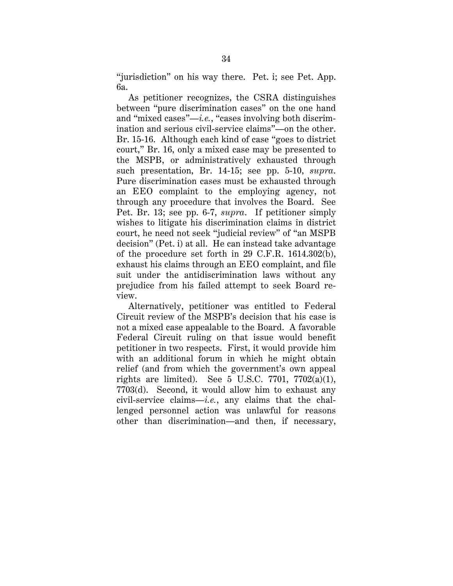"jurisdiction" on his way there. Pet. i; see Pet. App. 6a.

As petitioner recognizes, the CSRA distinguishes between "pure discrimination cases" on the one hand and "mixed cases"—*i.e.*, "cases involving both discrimination and serious civil-service claims"—on the other. Br. 15-16. Although each kind of case "goes to district court," Br. 16, only a mixed case may be presented to the MSPB, or administratively exhausted through such presentation, Br. 14-15; see pp. 5-10, *supra*. Pure discrimination cases must be exhausted through an EEO complaint to the employing agency, not through any procedure that involves the Board. See Pet. Br. 13; see pp. 6-7, *supra*. If petitioner simply wishes to litigate his discrimination claims in district court, he need not seek "judicial review" of "an MSPB decision" (Pet. i) at all. He can instead take advantage of the procedure set forth in 29 C.F.R. 1614.302(b), exhaust his claims through an EEO complaint, and file suit under the antidiscrimination laws without any prejudice from his failed attempt to seek Board review.

Alternatively, petitioner was entitled to Federal Circuit review of the MSPB's decision that his case is not a mixed case appealable to the Board. A favorable Federal Circuit ruling on that issue would benefit petitioner in two respects. First, it would provide him with an additional forum in which he might obtain relief (and from which the government's own appeal rights are limited). See 5 U.S.C. 7701, 7702 $(a)(1)$ , 7703(d). Second, it would allow him to exhaust any civil-service claims—*i.e.*, any claims that the challenged personnel action was unlawful for reasons other than discrimination—and then, if necessary,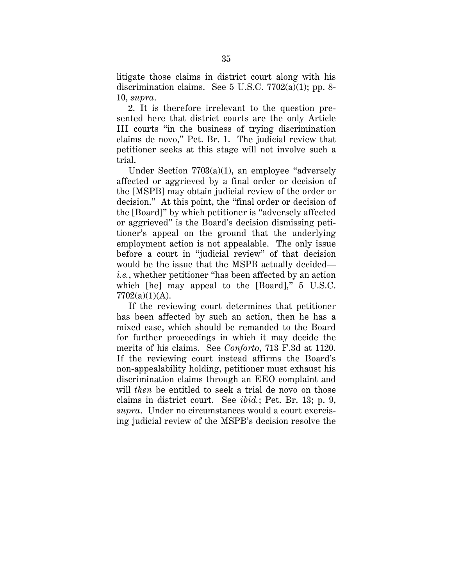litigate those claims in district court along with his discrimination claims. See 5 U.S.C. 7702(a)(1); pp. 8- 10, *supra*.

2. It is therefore irrelevant to the question presented here that district courts are the only Article III courts "in the business of trying discrimination claims de novo," Pet. Br. 1. The judicial review that petitioner seeks at this stage will not involve such a trial.

Under Section 7703(a)(1), an employee "adversely affected or aggrieved by a final order or decision of the [MSPB] may obtain judicial review of the order or decision." At this point, the "final order or decision of the [Board]" by which petitioner is "adversely affected or aggrieved" is the Board's decision dismissing petitioner's appeal on the ground that the underlying employment action is not appealable. The only issue before a court in "judicial review" of that decision would be the issue that the MSPB actually decided *i.e.*, whether petitioner "has been affected by an action which [he] may appeal to the [Board]," 5 U.S.C.  $7702(a)(1)(A)$ .

If the reviewing court determines that petitioner has been affected by such an action, then he has a mixed case, which should be remanded to the Board for further proceedings in which it may decide the merits of his claims. See *Conforto*, 713 F.3d at 1120. If the reviewing court instead affirms the Board's non-appealability holding, petitioner must exhaust his discrimination claims through an EEO complaint and will *then* be entitled to seek a trial de novo on those claims in district court. See *ibid.*; Pet. Br. 13; p. 9, *supra*. Under no circumstances would a court exercising judicial review of the MSPB's decision resolve the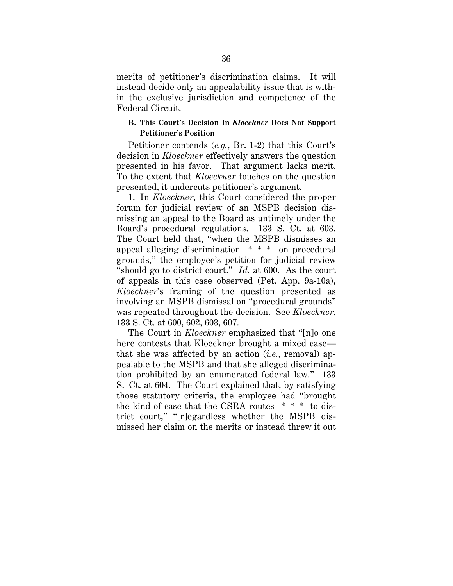merits of petitioner's discrimination claims. It will instead decide only an appealability issue that is within the exclusive jurisdiction and competence of the Federal Circuit.

### **B. This Court's Decision In** *Kloeckner* **Does Not Support Petitioner's Position**

Petitioner contends (*e.g.*, Br. 1-2) that this Court's decision in *Kloeckner* effectively answers the question presented in his favor. That argument lacks merit. To the extent that *Kloeckner* touches on the question presented, it undercuts petitioner's argument.

1. In *Kloeckner*, this Court considered the proper forum for judicial review of an MSPB decision dismissing an appeal to the Board as untimely under the Board's procedural regulations. 133 S. Ct. at 603. The Court held that, "when the MSPB dismisses an appeal alleging discrimination \* \* \* on procedural grounds," the employee's petition for judicial review "should go to district court." *Id.* at 600. As the court of appeals in this case observed (Pet. App. 9a-10a), *Kloeckner*'s framing of the question presented as involving an MSPB dismissal on "procedural grounds" was repeated throughout the decision. See *Kloeckner*, 133 S. Ct. at 600, 602, 603, 607.

The Court in *Kloeckner* emphasized that "[n]o one here contests that Kloeckner brought a mixed case that she was affected by an action (*i.e.*, removal) appealable to the MSPB and that she alleged discrimination prohibited by an enumerated federal law." 133 S. Ct. at 604. The Court explained that, by satisfying those statutory criteria, the employee had "brought the kind of case that the CSRA routes \* \* \* to district court," "[r]egardless whether the MSPB dismissed her claim on the merits or instead threw it out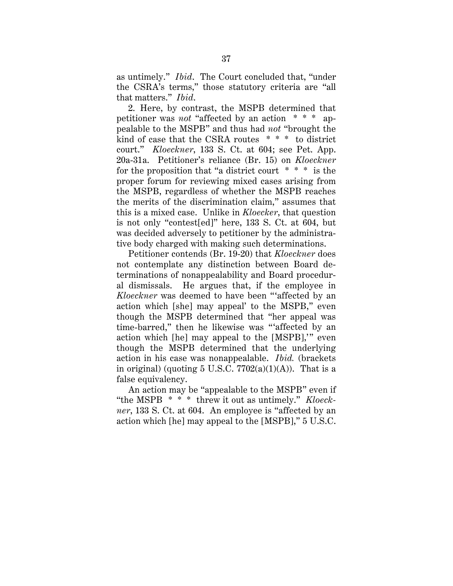as untimely." *Ibid*. The Court concluded that, "under the CSRA's terms," those statutory criteria are "all that matters." *Ibid*.

2. Here, by contrast, the MSPB determined that petitioner was *not* "affected by an action \* \* \* appealable to the MSPB" and thus had *not* "brought the kind of case that the CSRA routes \* \* \* to district court." *Kloeckner*, 133 S. Ct. at 604; see Pet. App. 20a-31a. Petitioner's reliance (Br. 15) on *Kloeckner*  for the proposition that "a district court  $* * *$  is the proper forum for reviewing mixed cases arising from the MSPB, regardless of whether the MSPB reaches the merits of the discrimination claim," assumes that this is a mixed case. Unlike in *Kloecker*, that question is not only "contest[ed]" here, 133 S. Ct. at 604, but was decided adversely to petitioner by the administrative body charged with making such determinations.

Petitioner contends (Br. 19-20) that *Kloeckner* does not contemplate any distinction between Board determinations of nonappealability and Board procedural dismissals. He argues that, if the employee in *Kloeckner* was deemed to have been "'affected by an action which [she] may appeal' to the MSPB," even though the MSPB determined that "her appeal was time-barred," then he likewise was "'affected by an action which [he] may appeal to the [MSPB],'" even though the MSPB determined that the underlying action in his case was nonappealable. *Ibid.* (brackets in original) (quoting  $5 \text{ U.S.C. } 7702(a)(1)(\text{A})$ ). That is a false equivalency.

An action may be "appealable to the MSPB" even if "the MSPB \* \* \* threw it out as untimely." *Kloeckner*, 133 S. Ct. at 604. An employee is "affected by an action which [he] may appeal to the [MSPB]," 5 U.S.C.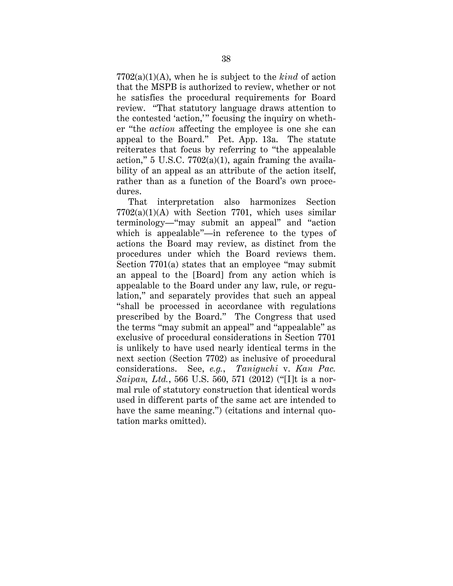7702(a)(1)(A), when he is subject to the *kind* of action that the MSPB is authorized to review, whether or not he satisfies the procedural requirements for Board review. "That statutory language draws attention to the contested 'action,'" focusing the inquiry on whether "the *action* affecting the employee is one she can appeal to the Board." Pet. App. 13a. The statute reiterates that focus by referring to "the appealable action," 5 U.S.C. 7702(a)(1), again framing the availability of an appeal as an attribute of the action itself, rather than as a function of the Board's own procedures.

That interpretation also harmonizes Section 7702(a)(1)(A) with Section 7701, which uses similar terminology—"may submit an appeal" and "action which is appealable"—in reference to the types of actions the Board may review, as distinct from the procedures under which the Board reviews them. Section 7701(a) states that an employee "may submit an appeal to the [Board] from any action which is appealable to the Board under any law, rule, or regulation," and separately provides that such an appeal "shall be processed in accordance with regulations prescribed by the Board." The Congress that used the terms "may submit an appeal" and "appealable" as exclusive of procedural considerations in Section 7701 is unlikely to have used nearly identical terms in the next section (Section 7702) as inclusive of procedural considerations. See, *e.g.*, *Taniguchi* v. *Kan Pac. Saipan, Ltd.*, 566 U.S. 560, 571 (2012) ("[I]t is a normal rule of statutory construction that identical words used in different parts of the same act are intended to have the same meaning.") (citations and internal quotation marks omitted).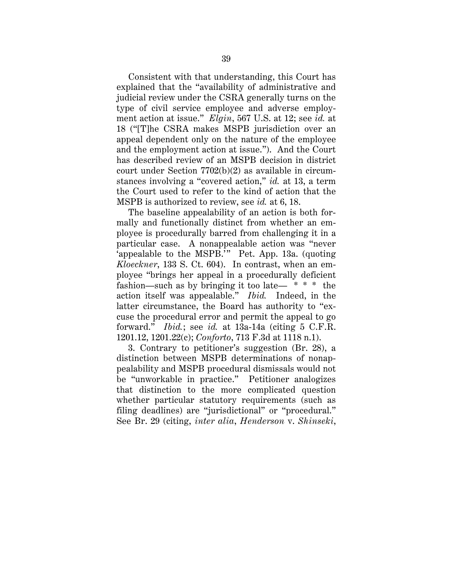Consistent with that understanding, this Court has explained that the "availability of administrative and judicial review under the CSRA generally turns on the type of civil service employee and adverse employment action at issue." *Elgin*, 567 U.S. at 12; see *id.* at 18 ("[T]he CSRA makes MSPB jurisdiction over an appeal dependent only on the nature of the employee and the employment action at issue."). And the Court has described review of an MSPB decision in district court under Section 7702(b)(2) as available in circumstances involving a "covered action," *id.* at 13, a term the Court used to refer to the kind of action that the MSPB is authorized to review, see *id.* at 6, 18.

The baseline appealability of an action is both formally and functionally distinct from whether an employee is procedurally barred from challenging it in a particular case. A nonappealable action was "never 'appealable to the MSPB.<sup>7</sup>" Pet. App. 13a. (quoting *Kloeckner*, 133 S. Ct. 604). In contrast, when an employee "brings her appeal in a procedurally deficient fashion—such as by bringing it too late—  $* * *$  the action itself was appealable." *Ibid.* Indeed, in the latter circumstance, the Board has authority to "excuse the procedural error and permit the appeal to go forward." *Ibid.*; see *id.* at 13a-14a (citing 5 C.F.R. 1201.12, 1201.22(c); *Conforto*, 713 F.3d at 1118 n.1).

3. Contrary to petitioner's suggestion (Br. 28), a distinction between MSPB determinations of nonappealability and MSPB procedural dismissals would not be "unworkable in practice." Petitioner analogizes that distinction to the more complicated question whether particular statutory requirements (such as filing deadlines) are "jurisdictional" or "procedural." See Br. 29 (citing, *inter alia*, *Henderson* v. *Shinseki*,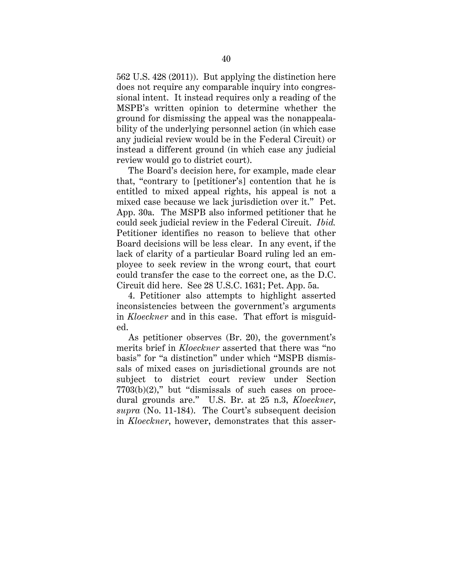562 U.S. 428 (2011)). But applying the distinction here does not require any comparable inquiry into congressional intent. It instead requires only a reading of the MSPB's written opinion to determine whether the ground for dismissing the appeal was the nonappealability of the underlying personnel action (in which case any judicial review would be in the Federal Circuit) or instead a different ground (in which case any judicial review would go to district court).

The Board's decision here, for example, made clear that, "contrary to [petitioner's] contention that he is entitled to mixed appeal rights, his appeal is not a mixed case because we lack jurisdiction over it." Pet. App. 30a. The MSPB also informed petitioner that he could seek judicial review in the Federal Circuit. *Ibid.* Petitioner identifies no reason to believe that other Board decisions will be less clear. In any event, if the lack of clarity of a particular Board ruling led an employee to seek review in the wrong court, that court could transfer the case to the correct one, as the D.C. Circuit did here. See 28 U.S.C. 1631; Pet. App. 5a.

4. Petitioner also attempts to highlight asserted inconsistencies between the government's arguments in *Kloeckner* and in this case. That effort is misguided.

As petitioner observes (Br. 20), the government's merits brief in *Kloeckner* asserted that there was "no basis" for "a distinction" under which "MSPB dismissals of mixed cases on jurisdictional grounds are not subject to district court review under Section  $7703(b)(2)$ ," but "dismissals of such cases on procedural grounds are." U.S. Br. at 25 n.3, *Kloeckner*, *supra* (No. 11-184). The Court's subsequent decision in *Kloeckner*, however, demonstrates that this asser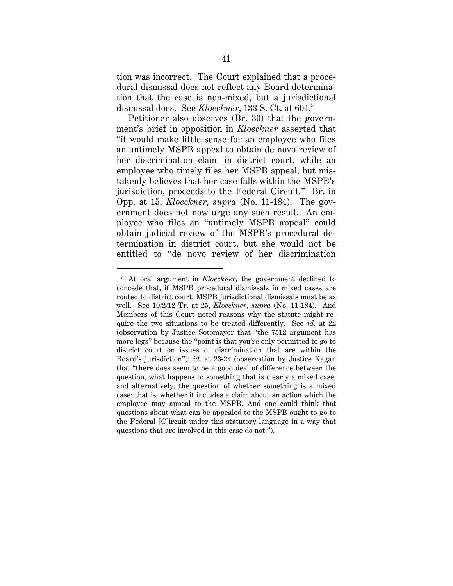tion was incorrect. The Court explained that a procedural dismissal does not reflect any Board determination that the case is non-mixed, but a jurisdictional dismissal does. See *Kloeckner*, 133 S. Ct. at 604.5 [5](#page-49-0)

Petitioner also observes (Br. 30) that the government's brief in opposition in *Kloeckner* asserted that "it would make little sense for an employee who files an untimely MSPB appeal to obtain de novo review of her discrimination claim in district court, while an employee who timely files her MSPB appeal, but mistakenly believes that her case falls within the MSPB's jurisdiction, proceeds to the Federal Circuit." Br. in Opp. at 15, *Kloeckner*, *supra* (No. 11-184). The government does not now urge any such result. An employee who files an "untimely MSPB appeal" could obtain judicial review of the MSPB's procedural determination in district court, but she would not be entitled to "de novo review of her discrimination

<span id="page-49-0"></span> <sup>5</sup> At oral argument in *Kloeckner*, the government declined to concede that, if MSPB procedural dismissals in mixed cases are routed to district court, MSPB jurisdictional dismissals must be as well. See 10/2/12 Tr. at 25, *Kloeckner*, *supra* (No. 11-184). And Members of this Court noted reasons why the statute might require the two situations to be treated differently. See *id*. at 22 (observation by Justice Sotomayor that "the 7512 argument has more legs" because the "point is that you're only permitted to go to district court on issues of discrimination that are within the Board's jurisdiction"); *id*. at 23-24 (observation by Justice Kagan that "there does seem to be a good deal of difference between the question, what happens to something that is clearly a mixed case, and alternatively, the question of whether something is a mixed case; that is, whether it includes a claim about an action which the employee may appeal to the MSPB. And one could think that questions about what can be appealed to the MSPB ought to go to the Federal [C]ircuit under this statutory language in a way that questions that are involved in this case do not.").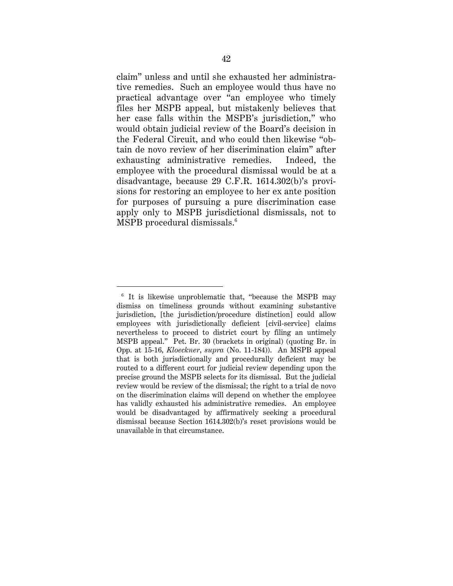claim" unless and until she exhausted her administrative remedies. Such an employee would thus have no practical advantage over "an employee who timely files her MSPB appeal, but mistakenly believes that her case falls within the MSPB's jurisdiction," who would obtain judicial review of the Board's decision in the Federal Circuit, and who could then likewise "obtain de novo review of her discrimination claim" after exhausting administrative remedies. Indeed, the employee with the procedural dismissal would be at a disadvantage, because 29 C.F.R. 1614.302(b)'s provisions for restoring an employee to her ex ante position for purposes of pursuing a pure discrimination case apply only to MSPB jurisdictional dismissals, not to MSPB procedural dismissals.<sup>6</sup>

<span id="page-50-0"></span><sup>&</sup>lt;sup>6</sup> It is likewise unproblematic that, "because the MSPB may dismiss on timeliness grounds without examining substantive jurisdiction, [the jurisdiction/procedure distinction] could allow employees with jurisdictionally deficient [civil-service] claims nevertheless to proceed to district court by filing an untimely MSPB appeal." Pet. Br. 30 (brackets in original) (quoting Br. in Opp. at 15-16, *Kloeckner*, *supra* (No. 11-184)). An MSPB appeal that is both jurisdictionally and procedurally deficient may be routed to a different court for judicial review depending upon the precise ground the MSPB selects for its dismissal. But the judicial review would be review of the dismissal; the right to a trial de novo on the discrimination claims will depend on whether the employee has validly exhausted his administrative remedies. An employee would be disadvantaged by affirmatively seeking a procedural dismissal because Section 1614.302(b)'s reset provisions would be unavailable in that circumstance.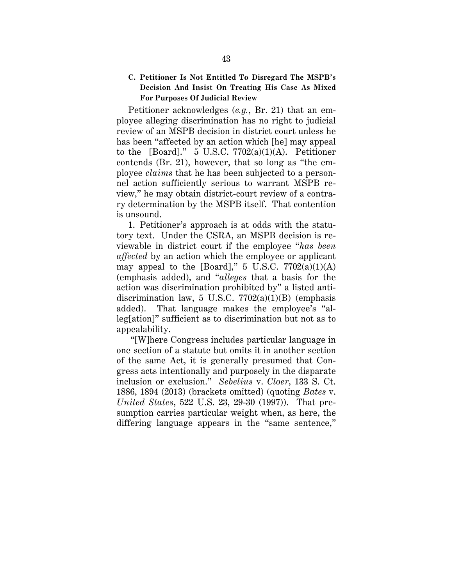## **C. Petitioner Is Not Entitled To Disregard The MSPB's Decision And Insist On Treating His Case As Mixed For Purposes Of Judicial Review**

Petitioner acknowledges (*e.g.*, Br. 21) that an employee alleging discrimination has no right to judicial review of an MSPB decision in district court unless he has been "affected by an action which [he] may appeal to the [Board]."  $5 \text{ U.S.C. } 7702(a)(1)(\text{A})$ . Petitioner contends (Br. 21), however, that so long as "the employee *claims* that he has been subjected to a personnel action sufficiently serious to warrant MSPB review," he may obtain district-court review of a contrary determination by the MSPB itself. That contention is unsound.

1. Petitioner's approach is at odds with the statutory text. Under the CSRA, an MSPB decision is reviewable in district court if the employee "*has been affected* by an action which the employee or applicant may appeal to the [Board],"  $5 \text{ U.S.C. } 7702(a)(1)(\text{A})$ (emphasis added), and "*alleges* that a basis for the action was discrimination prohibited by" a listed antidiscrimination law, 5 U.S.C.  $7702(a)(1)(B)$  (emphasis added). That language makes the employee's "alleg[ation]" sufficient as to discrimination but not as to appealability.

"[W]here Congress includes particular language in one section of a statute but omits it in another section of the same Act, it is generally presumed that Congress acts intentionally and purposely in the disparate inclusion or exclusion." *Sebelius* v. *Cloer*, 133 S. Ct. 1886, 1894 (2013) (brackets omitted) (quoting *Bates* v. *United States*, 522 U.S. 23, 29-30 (1997)). That presumption carries particular weight when, as here, the differing language appears in the "same sentence,"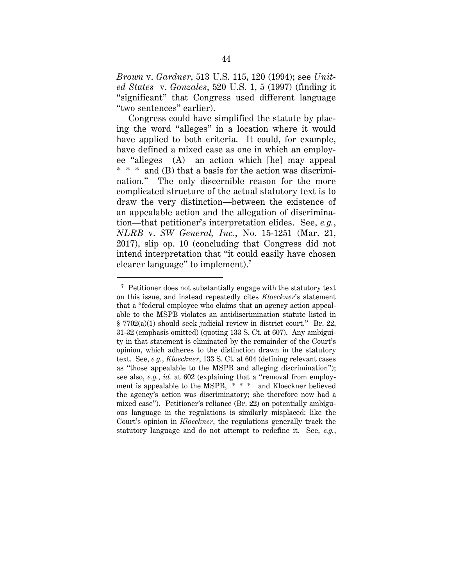*Brown* v. *Gardner*, 513 U.S. 115, 120 (1994); see *United States* v. *Gonzales*, 520 U.S. 1, 5 (1997) (finding it "significant" that Congress used different language "two sentences" earlier).

Congress could have simplified the statute by placing the word "alleges" in a location where it would have applied to both criteria. It could, for example, have defined a mixed case as one in which an employee "alleges (A) an action which [he] may appeal \* \* \* and (B) that a basis for the action was discrimination." The only discernible reason for the more complicated structure of the actual statutory text is to draw the very distinction—between the existence of an appealable action and the allegation of discrimination—that petitioner's interpretation elides. See, *e.g.*, *NLRB* v. *SW General, Inc.*, No. 15-1251 (Mar. 21, 2017), slip op. 10 (concluding that Congress did not intend interpretation that "it could easily have chosen clearer language" to implement).<sup>[7](#page-52-0)</sup>

<span id="page-52-0"></span> <sup>7</sup> Petitioner does not substantially engage with the statutory text on this issue, and instead repeatedly cites *Kloeckner*'s statement that a "federal employee who claims that an agency action appealable to the MSPB violates an antidiscrimination statute listed in § 7702(a)(1) should seek judicial review in district court." Br. 22, 31-32 (emphasis omitted) (quoting 133 S. Ct. at 607). Any ambiguity in that statement is eliminated by the remainder of the Court's opinion, which adheres to the distinction drawn in the statutory text. See, *e.g.*, *Kloeckner*, 133 S. Ct. at 604 (defining relevant cases as "those appealable to the MSPB and alleging discrimination"); see also, *e.g.*, *id.* at 602 (explaining that a "removal from employment is appealable to the MSPB, \* \* \* and Kloeckner believed the agency's action was discriminatory; she therefore now had a mixed case"). Petitioner's reliance (Br. 22) on potentially ambiguous language in the regulations is similarly misplaced: like the Court's opinion in *Kloeckner*, the regulations generally track the statutory language and do not attempt to redefine it. See, *e.g.*,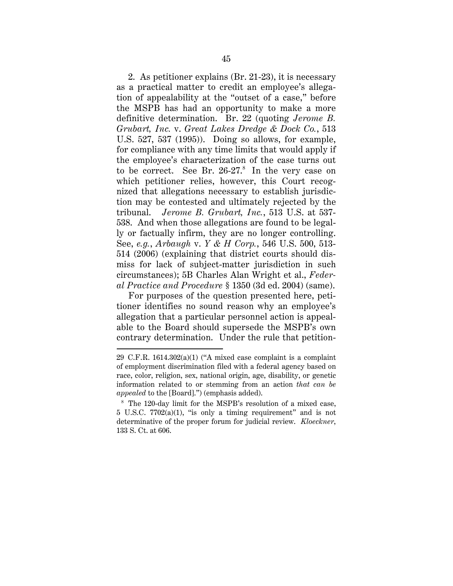2. As petitioner explains (Br. 21-23), it is necessary as a practical matter to credit an employee's allegation of appealability at the "outset of a case," before the MSPB has had an opportunity to make a more definitive determination. Br. 22 (quoting *Jerome B. Grubart, Inc.* v. *Great Lakes Dredge & Dock Co.*, 513 U.S. 527, 537 (1995)). Doing so allows, for example, for compliance with any time limits that would apply if the employee's characterization of the case turns out to be correct. See Br.  $26-27$ .<sup>[8](#page-53-0)</sup> In the very case on which petitioner relies, however, this Court recognized that allegations necessary to establish jurisdiction may be contested and ultimately rejected by the tribunal. *Jerome B. Grubart, Inc.*, 513 U.S. at 537- 538. And when those allegations are found to be legally or factually infirm, they are no longer controlling. See, *e.g.*, *Arbaugh* v. *Y & H Corp.*, 546 U.S. 500, 513- 514 (2006) (explaining that district courts should dismiss for lack of subject-matter jurisdiction in such circumstances); 5B Charles Alan Wright et al., *Federal Practice and Procedure* § 1350 (3d ed. 2004) (same).

For purposes of the question presented here, petitioner identifies no sound reason why an employee's allegation that a particular personnel action is appealable to the Board should supersede the MSPB's own contrary determination. Under the rule that petition-

 $\overline{a}$ 

<sup>29</sup> C.F.R. 1614.302(a)(1) ("A mixed case complaint is a complaint of employment discrimination filed with a federal agency based on race, color, religion, sex, national origin, age, disability, or genetic information related to or stemming from an action *that can be appealed* to the [Board].") (emphasis added).

<span id="page-53-0"></span><sup>8</sup> The 120-day limit for the MSPB's resolution of a mixed case, 5 U.S.C. 7702(a)(1), "is only a timing requirement" and is not determinative of the proper forum for judicial review. *Kloeckner*, 133 S. Ct. at 606.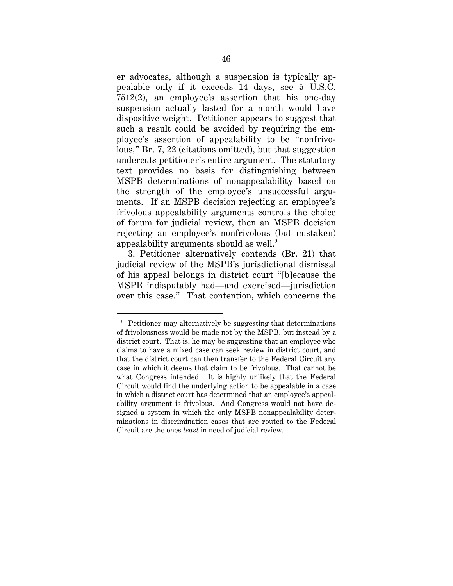er advocates, although a suspension is typically appealable only if it exceeds 14 days, see 5 U.S.C. 7512(2), an employee's assertion that his one-day suspension actually lasted for a month would have dispositive weight. Petitioner appears to suggest that such a result could be avoided by requiring the employee's assertion of appealability to be "nonfrivolous," Br. 7, 22 (citations omitted), but that suggestion undercuts petitioner's entire argument. The statutory text provides no basis for distinguishing between MSPB determinations of nonappealability based on the strength of the employee's unsuccessful arguments. If an MSPB decision rejecting an employee's frivolous appealability arguments controls the choice of forum for judicial review, then an MSPB decision rejecting an employee's nonfrivolous (but mistaken) appealability arguments should as well. $^9$  $^9$ 

3. Petitioner alternatively contends (Br. 21) that judicial review of the MSPB's jurisdictional dismissal of his appeal belongs in district court "[b]ecause the MSPB indisputably had—and exercised—jurisdiction over this case." That contention, which concerns the

<span id="page-54-0"></span><sup>&</sup>lt;sup>9</sup> Petitioner may alternatively be suggesting that determinations of frivolousness would be made not by the MSPB, but instead by a district court. That is, he may be suggesting that an employee who claims to have a mixed case can seek review in district court, and that the district court can then transfer to the Federal Circuit any case in which it deems that claim to be frivolous. That cannot be what Congress intended. It is highly unlikely that the Federal Circuit would find the underlying action to be appealable in a case in which a district court has determined that an employee's appealability argument is frivolous. And Congress would not have designed a system in which the only MSPB nonappealability determinations in discrimination cases that are routed to the Federal Circuit are the ones *least* in need of judicial review.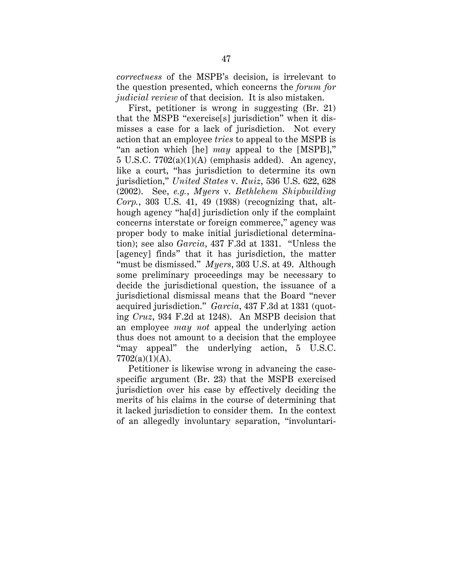*correctness* of the MSPB's decision, is irrelevant to the question presented, which concerns the *forum for judicial review* of that decision. It is also mistaken.

First, petitioner is wrong in suggesting (Br. 21) that the MSPB "exercise[s] jurisdiction" when it dismisses a case for a lack of jurisdiction. Not every action that an employee *tries* to appeal to the MSPB is "an action which [he] *may* appeal to the [MSPB],"  $5 \text{ U.S.C. } 7702(a)(1)(\text{A})$  (emphasis added). An agency, like a court, "has jurisdiction to determine its own jurisdiction," *United States* v. *Ruiz*, 536 U.S. 622, 628 (2002). See, *e.g.*, *Myers* v. *Bethlehem Shipbuilding Corp.*, 303 U.S. 41, 49 (1938) (recognizing that, although agency "ha[d] jurisdiction only if the complaint concerns interstate or foreign commerce," agency was proper body to make initial jurisdictional determination); see also *Garcia*, 437 F.3d at 1331. "Unless the [agency] finds" that it has jurisdiction, the matter "must be dismissed." *Myers*, 303 U.S. at 49. Although some preliminary proceedings may be necessary to decide the jurisdictional question, the issuance of a jurisdictional dismissal means that the Board "never acquired jurisdiction." *Garcia*, 437 F.3d at 1331 (quoting *Cruz*, 934 F.2d at 1248). An MSPB decision that an employee *may not* appeal the underlying action thus does not amount to a decision that the employee "may appeal" the underlying action, 5 U.S.C.  $7702(a)(1)(A)$ .

Petitioner is likewise wrong in advancing the casespecific argument (Br. 23) that the MSPB exercised jurisdiction over his case by effectively deciding the merits of his claims in the course of determining that it lacked jurisdiction to consider them. In the context of an allegedly involuntary separation, "involuntari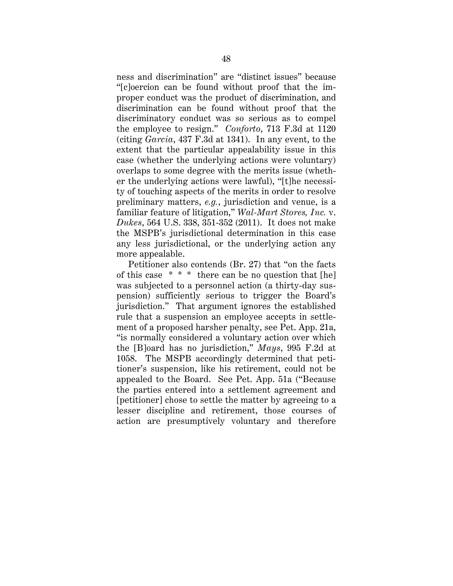ness and discrimination" are "distinct issues" because "[c]oercion can be found without proof that the improper conduct was the product of discrimination, and discrimination can be found without proof that the discriminatory conduct was so serious as to compel the employee to resign." *Conforto*, 713 F.3d at 1120 (citing *Garcia*, 437 F.3d at 1341). In any event, to the extent that the particular appealability issue in this case (whether the underlying actions were voluntary) overlaps to some degree with the merits issue (whether the underlying actions were lawful), "[t]he necessity of touching aspects of the merits in order to resolve preliminary matters, *e.g.*, jurisdiction and venue, is a familiar feature of litigation," *Wal-Mart Stores, Inc.* v. *Dukes*, 564 U.S. 338, 351-352 (2011). It does not make the MSPB's jurisdictional determination in this case any less jurisdictional, or the underlying action any more appealable.

Petitioner also contends (Br. 27) that "on the facts of this case \* \* \* there can be no question that [he] was subjected to a personnel action (a thirty-day suspension) sufficiently serious to trigger the Board's jurisdiction." That argument ignores the established rule that a suspension an employee accepts in settlement of a proposed harsher penalty, see Pet. App. 21a, "is normally considered a voluntary action over which the [B]oard has no jurisdiction," *Mays*, 995 F.2d at 1058. The MSPB accordingly determined that petitioner's suspension, like his retirement, could not be appealed to the Board. See Pet. App. 51a ("Because the parties entered into a settlement agreement and [petitioner] chose to settle the matter by agreeing to a lesser discipline and retirement, those courses of action are presumptively voluntary and therefore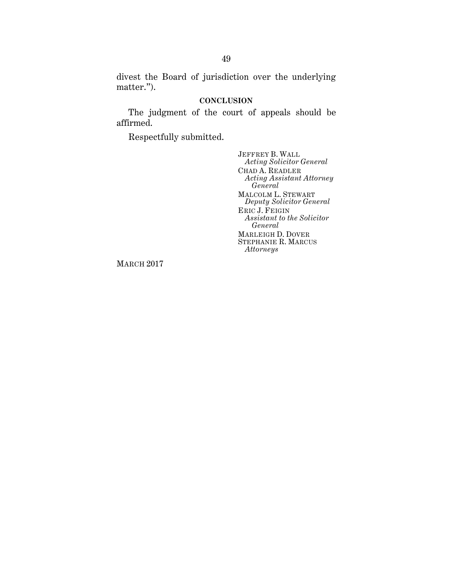divest the Board of jurisdiction over the underlying matter.").

#### **CONCLUSION**

The judgment of the court of appeals should be affirmed.

Respectfully submitted.

JEFFREY B. WALL *Acting Solicitor General* CHAD A. READLER *Acting Assistant Attorney General* MALCOLM L. STEWART *Deputy Solicitor General* ERIC J. FEIGIN *Assistant to the Solicitor General* MARLEIGH D. DOVER STEPHANIE R. MARCUS *Attorneys*

MARCH 2017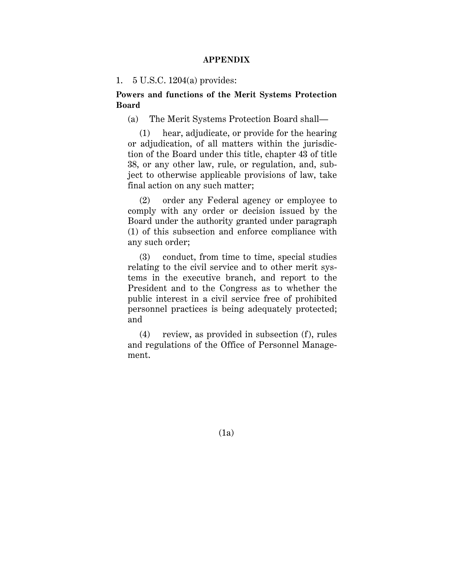#### **APPENDIX**

#### 1. 5 U.S.C. 1204(a) provides:

**Powers and functions of the Merit Systems Protection Board**

(a) The Merit Systems Protection Board shall—

(1) hear, adjudicate, or provide for the hearing or adjudication, of all matters within the jurisdiction of the Board under this title, chapter 43 of title 38, or any other law, rule, or regulation, and, subject to otherwise applicable provisions of law, take final action on any such matter;

(2) order any Federal agency or employee to comply with any order or decision issued by the Board under the authority granted under paragraph (1) of this subsection and enforce compliance with any such order;

(3) conduct, from time to time, special studies relating to the civil service and to other merit systems in the executive branch, and report to the President and to the Congress as to whether the public interest in a civil service free of prohibited personnel practices is being adequately protected; and

(4) review, as provided in subsection (f), rules and regulations of the Office of Personnel Management.

(1a)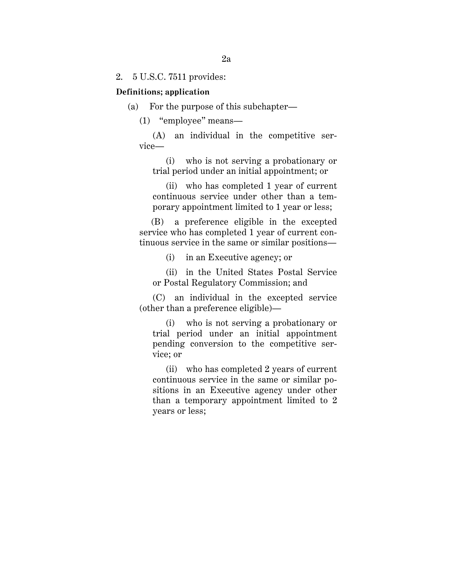2. 5 U.S.C. 7511 provides:

#### **Definitions; application**

(a) For the purpose of this subchapter—

(1) "employee" means—

(A) an individual in the competitive service—

(i) who is not serving a probationary or trial period under an initial appointment; or

(ii) who has completed 1 year of current continuous service under other than a temporary appointment limited to 1 year or less;

(B) a preference eligible in the excepted service who has completed 1 year of current continuous service in the same or similar positions—

(i) in an Executive agency; or

(ii) in the United States Postal Service or Postal Regulatory Commission; and

(C) an individual in the excepted service (other than a preference eligible)—

(i) who is not serving a probationary or trial period under an initial appointment pending conversion to the competitive service; or

(ii) who has completed 2 years of current continuous service in the same or similar positions in an Executive agency under other than a temporary appointment limited to 2 years or less;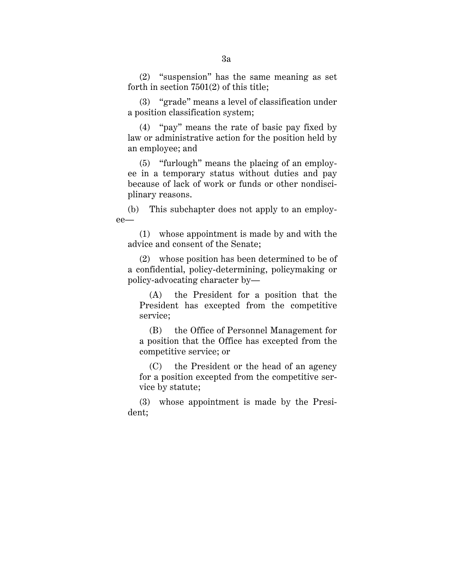(2) "suspension" has the same meaning as set forth in section 7501(2) of this title;

(3) "grade" means a level of classification under a position classification system;

(4) "pay" means the rate of basic pay fixed by law or administrative action for the position held by an employee; and

(5) "furlough" means the placing of an employee in a temporary status without duties and pay because of lack of work or funds or other nondisciplinary reasons.

(b) This subchapter does not apply to an employee—

(1) whose appointment is made by and with the advice and consent of the Senate;

(2) whose position has been determined to be of a confidential, policy-determining, policymaking or policy-advocating character by—

(A) the President for a position that the President has excepted from the competitive service;

(B) the Office of Personnel Management for a position that the Office has excepted from the competitive service; or

(C) the President or the head of an agency for a position excepted from the competitive service by statute;

(3) whose appointment is made by the President;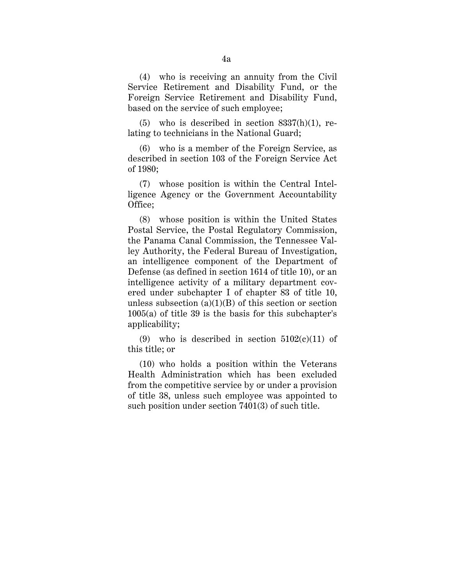(4) who is receiving an annuity from the Civil Service Retirement and Disability Fund, or the Foreign Service Retirement and Disability Fund, based on the service of such employee;

 $(5)$  who is described in section  $8337(h)(1)$ , relating to technicians in the National Guard;

(6) who is a member of the Foreign Service, as described in section 103 of the Foreign Service Act of 1980;

(7) whose position is within the Central Intelligence Agency or the Government Accountability Office;

(8) whose position is within the United States Postal Service, the Postal Regulatory Commission, the Panama Canal Commission, the Tennessee Valley Authority, the Federal Bureau of Investigation, an intelligence component of the Department of Defense (as defined in section 1614 of title 10), or an intelligence activity of a military department covered under subchapter I of chapter 83 of title 10, unless subsection  $(a)(1)(B)$  of this section or section 1005(a) of title 39 is the basis for this subchapter's applicability;

(9) who is described in section  $5102(c)(11)$  of this title; or

(10) who holds a position within the Veterans Health Administration which has been excluded from the competitive service by or under a provision of title 38, unless such employee was appointed to such position under section 7401(3) of such title.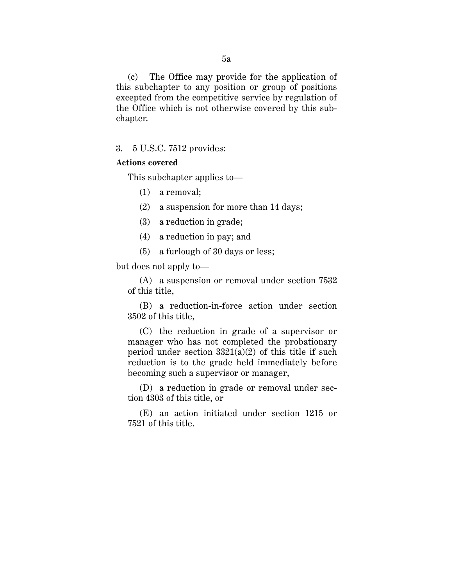(c) The Office may provide for the application of this subchapter to any position or group of positions excepted from the competitive service by regulation of the Office which is not otherwise covered by this subchapter.

3. 5 U.S.C. 7512 provides:

## **Actions covered**

This subchapter applies to—

(1) a removal;

(2) a suspension for more than 14 days;

- (3) a reduction in grade;
- (4) a reduction in pay; and
- (5) a furlough of 30 days or less;

but does not apply to—

(A) a suspension or removal under section 7532 of this title,

(B) a reduction-in-force action under section 3502 of this title,

(C) the reduction in grade of a supervisor or manager who has not completed the probationary period under section  $3321(a)(2)$  of this title if such reduction is to the grade held immediately before becoming such a supervisor or manager,

(D) a reduction in grade or removal under section 4303 of this title, or

(E) an action initiated under section 1215 or 7521 of this title.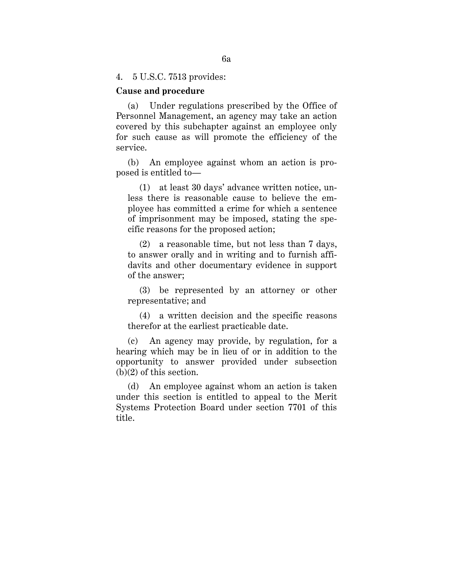4. 5 U.S.C. 7513 provides:

### **Cause and procedure**

(a) Under regulations prescribed by the Office of Personnel Management, an agency may take an action covered by this subchapter against an employee only for such cause as will promote the efficiency of the service.

(b) An employee against whom an action is proposed is entitled to—

(1) at least 30 days' advance written notice, unless there is reasonable cause to believe the employee has committed a crime for which a sentence of imprisonment may be imposed, stating the specific reasons for the proposed action;

(2) a reasonable time, but not less than 7 days, to answer orally and in writing and to furnish affidavits and other documentary evidence in support of the answer;

(3) be represented by an attorney or other representative; and

(4) a written decision and the specific reasons therefor at the earliest practicable date.

(c) An agency may provide, by regulation, for a hearing which may be in lieu of or in addition to the opportunity to answer provided under subsection (b)(2) of this section.

(d) An employee against whom an action is taken under this section is entitled to appeal to the Merit Systems Protection Board under section 7701 of this title.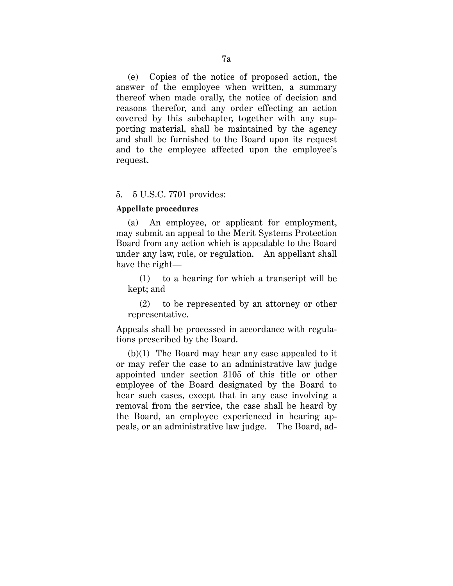(e) Copies of the notice of proposed action, the answer of the employee when written, a summary thereof when made orally, the notice of decision and reasons therefor, and any order effecting an action covered by this subchapter, together with any supporting material, shall be maintained by the agency and shall be furnished to the Board upon its request and to the employee affected upon the employee's request.

### 5. 5 U.S.C. 7701 provides:

#### **Appellate procedures**

(a) An employee, or applicant for employment, may submit an appeal to the Merit Systems Protection Board from any action which is appealable to the Board under any law, rule, or regulation. An appellant shall have the right—

(1) to a hearing for which a transcript will be kept; and

(2) to be represented by an attorney or other representative.

Appeals shall be processed in accordance with regulations prescribed by the Board.

(b)(1) The Board may hear any case appealed to it or may refer the case to an administrative law judge appointed under section 3105 of this title or other employee of the Board designated by the Board to hear such cases, except that in any case involving a removal from the service, the case shall be heard by the Board, an employee experienced in hearing appeals, or an administrative law judge. The Board, ad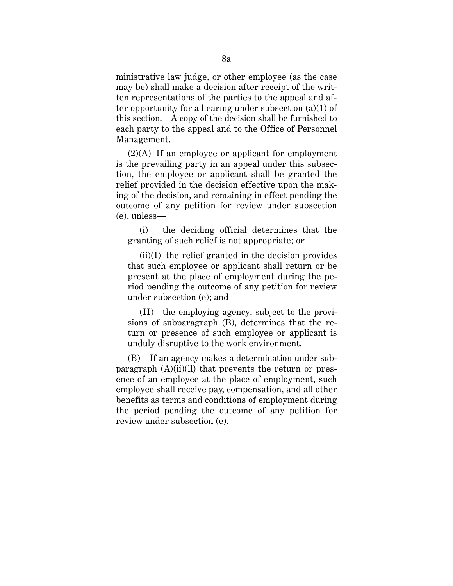ministrative law judge, or other employee (as the case may be) shall make a decision after receipt of the written representations of the parties to the appeal and after opportunity for a hearing under subsection (a)(1) of this section. A copy of the decision shall be furnished to each party to the appeal and to the Office of Personnel Management.

 $(2)(A)$  If an employee or applicant for employment is the prevailing party in an appeal under this subsection, the employee or applicant shall be granted the relief provided in the decision effective upon the making of the decision, and remaining in effect pending the outcome of any petition for review under subsection (e), unless—

(i) the deciding official determines that the granting of such relief is not appropriate; or

 $(ii)(I)$  the relief granted in the decision provides that such employee or applicant shall return or be present at the place of employment during the period pending the outcome of any petition for review under subsection (e); and

(II) the employing agency, subject to the provisions of subparagraph (B), determines that the return or presence of such employee or applicant is unduly disruptive to the work environment.

(B) If an agency makes a determination under subparagraph (A)(ii)(ll) that prevents the return or presence of an employee at the place of employment, such employee shall receive pay, compensation, and all other benefits as terms and conditions of employment during the period pending the outcome of any petition for review under subsection (e).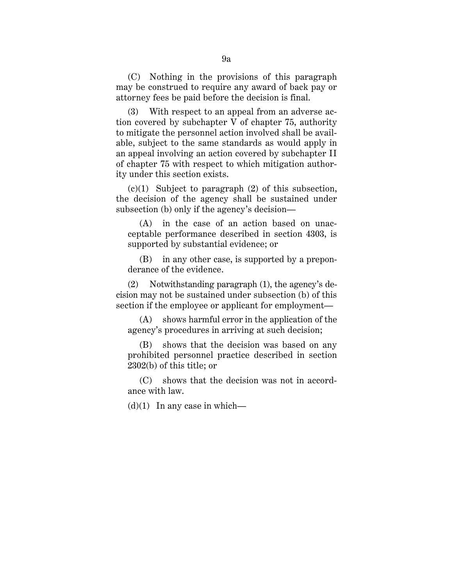(C) Nothing in the provisions of this paragraph may be construed to require any award of back pay or attorney fees be paid before the decision is final.

(3) With respect to an appeal from an adverse action covered by subchapter V of chapter 75, authority to mitigate the personnel action involved shall be available, subject to the same standards as would apply in an appeal involving an action covered by subchapter II of chapter 75 with respect to which mitigation authority under this section exists.

 $(c)(1)$  Subject to paragraph  $(2)$  of this subsection, the decision of the agency shall be sustained under subsection (b) only if the agency's decision—

(A) in the case of an action based on unacceptable performance described in section 4303, is supported by substantial evidence; or

(B) in any other case, is supported by a preponderance of the evidence.

(2) Notwithstanding paragraph (1), the agency's decision may not be sustained under subsection (b) of this section if the employee or applicant for employment—

(A) shows harmful error in the application of the agency's procedures in arriving at such decision;

(B) shows that the decision was based on any prohibited personnel practice described in section 2302(b) of this title; or

(C) shows that the decision was not in accordance with law.

 $(d)(1)$  In any case in which—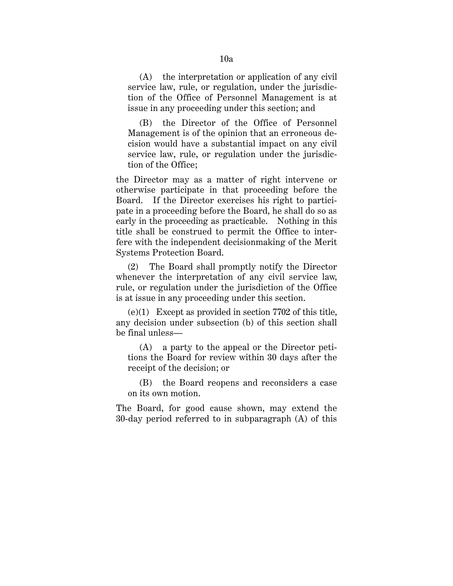(A) the interpretation or application of any civil service law, rule, or regulation, under the jurisdiction of the Office of Personnel Management is at issue in any proceeding under this section; and

(B) the Director of the Office of Personnel Management is of the opinion that an erroneous decision would have a substantial impact on any civil service law, rule, or regulation under the jurisdiction of the Office;

the Director may as a matter of right intervene or otherwise participate in that proceeding before the Board. If the Director exercises his right to participate in a proceeding before the Board, he shall do so as early in the proceeding as practicable. Nothing in this title shall be construed to permit the Office to interfere with the independent decisionmaking of the Merit Systems Protection Board.

(2) The Board shall promptly notify the Director whenever the interpretation of any civil service law, rule, or regulation under the jurisdiction of the Office is at issue in any proceeding under this section.

(e)(1) Except as provided in section 7702 of this title, any decision under subsection (b) of this section shall be final unless—

a party to the appeal or the Director petitions the Board for review within 30 days after the receipt of the decision; or

(B) the Board reopens and reconsiders a case on its own motion.

The Board, for good cause shown, may extend the 30-day period referred to in subparagraph (A) of this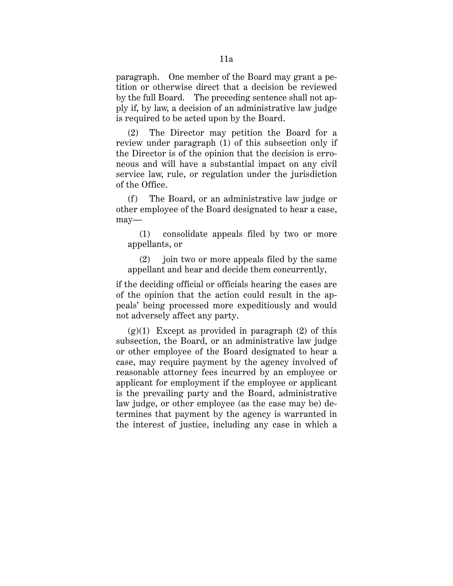paragraph. One member of the Board may grant a petition or otherwise direct that a decision be reviewed by the full Board. The preceding sentence shall not apply if, by law, a decision of an administrative law judge is required to be acted upon by the Board.

(2) The Director may petition the Board for a review under paragraph (1) of this subsection only if the Director is of the opinion that the decision is erroneous and will have a substantial impact on any civil service law, rule, or regulation under the jurisdiction of the Office.

(f) The Board, or an administrative law judge or other employee of the Board designated to hear a case, may—

(1) consolidate appeals filed by two or more appellants, or

(2) join two or more appeals filed by the same appellant and hear and decide them concurrently,

if the deciding official or officials hearing the cases are of the opinion that the action could result in the appeals' being processed more expeditiously and would not adversely affect any party.

 $(g)(1)$  Except as provided in paragraph  $(2)$  of this subsection, the Board, or an administrative law judge or other employee of the Board designated to hear a case, may require payment by the agency involved of reasonable attorney fees incurred by an employee or applicant for employment if the employee or applicant is the prevailing party and the Board, administrative law judge, or other employee (as the case may be) determines that payment by the agency is warranted in the interest of justice, including any case in which a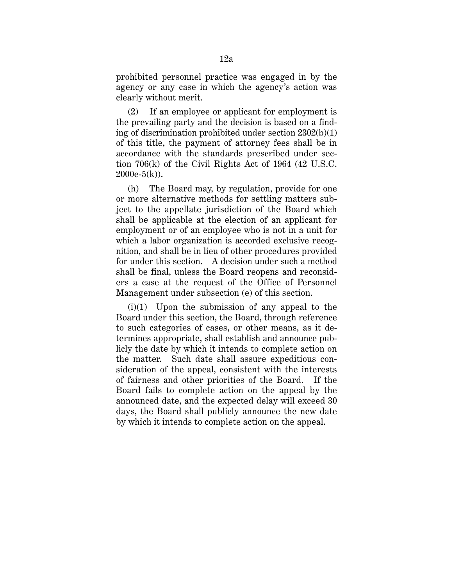prohibited personnel practice was engaged in by the agency or any case in which the agency's action was clearly without merit.

(2) If an employee or applicant for employment is the prevailing party and the decision is based on a finding of discrimination prohibited under section 2302(b)(1) of this title, the payment of attorney fees shall be in accordance with the standards prescribed under section 706(k) of the Civil Rights Act of 1964 (42 U.S.C.  $2000e-5(k)$ .

(h) The Board may, by regulation, provide for one or more alternative methods for settling matters subject to the appellate jurisdiction of the Board which shall be applicable at the election of an applicant for employment or of an employee who is not in a unit for which a labor organization is accorded exclusive recognition, and shall be in lieu of other procedures provided for under this section. A decision under such a method shall be final, unless the Board reopens and reconsiders a case at the request of the Office of Personnel Management under subsection (e) of this section.

(i)(1) Upon the submission of any appeal to the Board under this section, the Board, through reference to such categories of cases, or other means, as it determines appropriate, shall establish and announce publicly the date by which it intends to complete action on the matter. Such date shall assure expeditious consideration of the appeal, consistent with the interests of fairness and other priorities of the Board. If the Board fails to complete action on the appeal by the announced date, and the expected delay will exceed 30 days, the Board shall publicly announce the new date by which it intends to complete action on the appeal.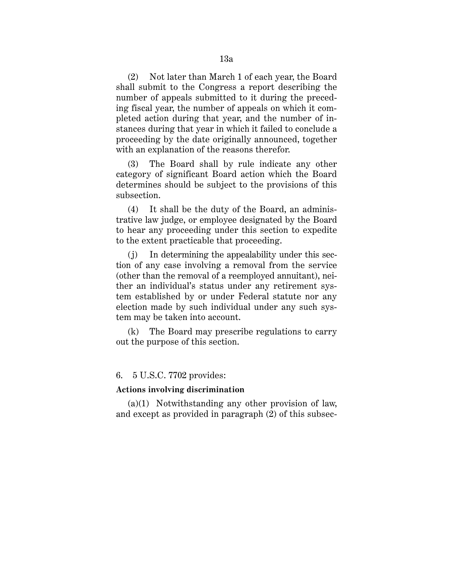(2) Not later than March 1 of each year, the Board shall submit to the Congress a report describing the number of appeals submitted to it during the preceding fiscal year, the number of appeals on which it completed action during that year, and the number of instances during that year in which it failed to conclude a proceeding by the date originally announced, together with an explanation of the reasons therefor.

(3) The Board shall by rule indicate any other category of significant Board action which the Board determines should be subject to the provisions of this subsection.

(4) It shall be the duty of the Board, an administrative law judge, or employee designated by the Board to hear any proceeding under this section to expedite to the extent practicable that proceeding.

(j) In determining the appealability under this section of any case involving a removal from the service (other than the removal of a reemployed annuitant), neither an individual's status under any retirement system established by or under Federal statute nor any election made by such individual under any such system may be taken into account.

(k) The Board may prescribe regulations to carry out the purpose of this section.

## 6. 5 U.S.C. 7702 provides:

## **Actions involving discrimination**

(a)(1) Notwithstanding any other provision of law, and except as provided in paragraph (2) of this subsec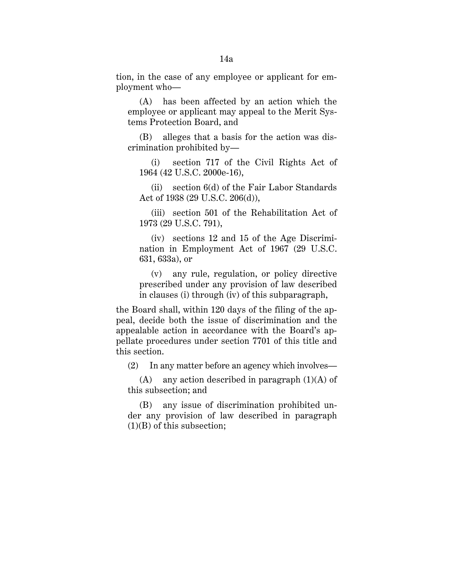tion, in the case of any employee or applicant for employment who—

(A) has been affected by an action which the employee or applicant may appeal to the Merit Systems Protection Board, and

(B) alleges that a basis for the action was discrimination prohibited by—

(i) section 717 of the Civil Rights Act of 1964 (42 U.S.C. 2000e-16),

(ii) section 6(d) of the Fair Labor Standards Act of 1938 (29 U.S.C. 206(d)),

(iii) section 501 of the Rehabilitation Act of 1973 (29 U.S.C. 791),

(iv) sections 12 and 15 of the Age Discrimination in Employment Act of 1967 (29 U.S.C. 631, 633a), or

(v) any rule, regulation, or policy directive prescribed under any provision of law described in clauses (i) through (iv) of this subparagraph,

the Board shall, within 120 days of the filing of the appeal, decide both the issue of discrimination and the appealable action in accordance with the Board's appellate procedures under section 7701 of this title and this section.

(2) In any matter before an agency which involves—

(A) any action described in paragraph  $(1)(A)$  of this subsection; and

(B) any issue of discrimination prohibited under any provision of law described in paragraph (1)(B) of this subsection;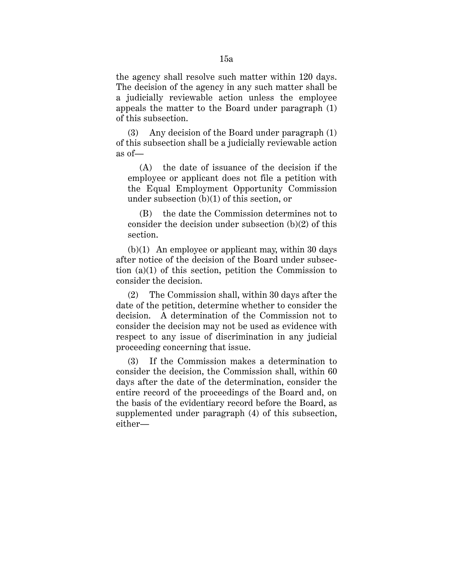the agency shall resolve such matter within 120 days. The decision of the agency in any such matter shall be a judicially reviewable action unless the employee appeals the matter to the Board under paragraph (1) of this subsection.

(3) Any decision of the Board under paragraph (1) of this subsection shall be a judicially reviewable action as of—

(A) the date of issuance of the decision if the employee or applicant does not file a petition with the Equal Employment Opportunity Commission under subsection (b)(1) of this section, or

(B) the date the Commission determines not to consider the decision under subsection (b)(2) of this section.

(b)(1) An employee or applicant may, within 30 days after notice of the decision of the Board under subsection (a)(1) of this section, petition the Commission to consider the decision.

(2) The Commission shall, within 30 days after the date of the petition, determine whether to consider the decision. A determination of the Commission not to consider the decision may not be used as evidence with respect to any issue of discrimination in any judicial proceeding concerning that issue.

(3) If the Commission makes a determination to consider the decision, the Commission shall, within 60 days after the date of the determination, consider the entire record of the proceedings of the Board and, on the basis of the evidentiary record before the Board, as supplemented under paragraph (4) of this subsection, either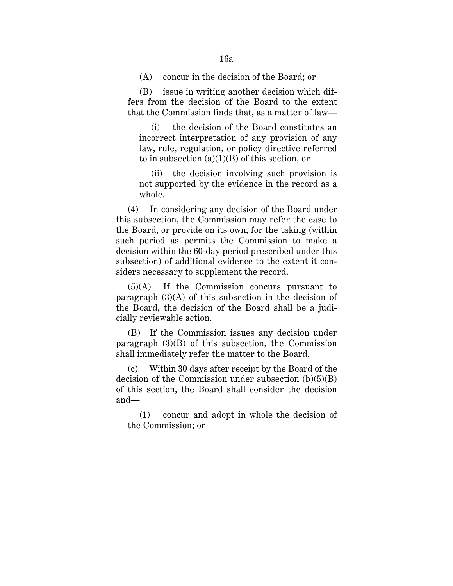(A) concur in the decision of the Board; or

(B) issue in writing another decision which differs from the decision of the Board to the extent that the Commission finds that, as a matter of law—

(i) the decision of the Board constitutes an incorrect interpretation of any provision of any law, rule, regulation, or policy directive referred to in subsection  $(a)(1)(B)$  of this section, or

(ii) the decision involving such provision is not supported by the evidence in the record as a whole.

(4) In considering any decision of the Board under this subsection, the Commission may refer the case to the Board, or provide on its own, for the taking (within such period as permits the Commission to make a decision within the 60-day period prescribed under this subsection) of additional evidence to the extent it considers necessary to supplement the record.

(5)(A) If the Commission concurs pursuant to paragraph  $(3)(A)$  of this subsection in the decision of the Board, the decision of the Board shall be a judicially reviewable action.

(B) If the Commission issues any decision under paragraph (3)(B) of this subsection, the Commission shall immediately refer the matter to the Board.

(c) Within 30 days after receipt by the Board of the decision of the Commission under subsection  $(b)(5)(B)$ of this section, the Board shall consider the decision and—

(1) concur and adopt in whole the decision of the Commission; or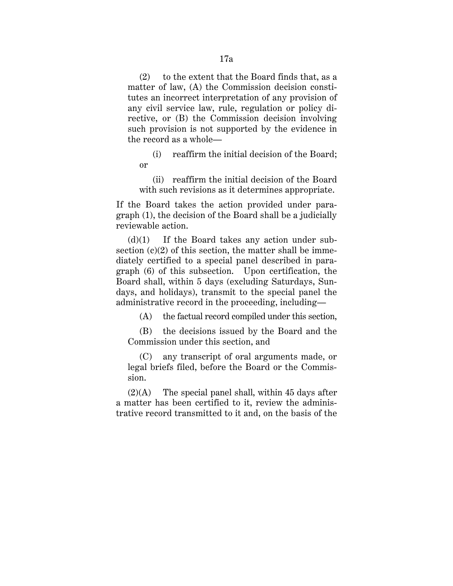(2) to the extent that the Board finds that, as a matter of law, (A) the Commission decision constitutes an incorrect interpretation of any provision of any civil service law, rule, regulation or policy directive, or (B) the Commission decision involving such provision is not supported by the evidence in the record as a whole—

(i) reaffirm the initial decision of the Board; or

(ii) reaffirm the initial decision of the Board with such revisions as it determines appropriate.

If the Board takes the action provided under paragraph (1), the decision of the Board shall be a judicially reviewable action.

 $(d)(1)$  If the Board takes any action under subsection  $(c)(2)$  of this section, the matter shall be immediately certified to a special panel described in paragraph (6) of this subsection. Upon certification, the Board shall, within 5 days (excluding Saturdays, Sundays, and holidays), transmit to the special panel the administrative record in the proceeding, including—

(A) the factual record compiled under this section,

(B) the decisions issued by the Board and the Commission under this section, and

(C) any transcript of oral arguments made, or legal briefs filed, before the Board or the Commission.

 $(2)(A)$  The special panel shall, within 45 days after a matter has been certified to it, review the administrative record transmitted to it and, on the basis of the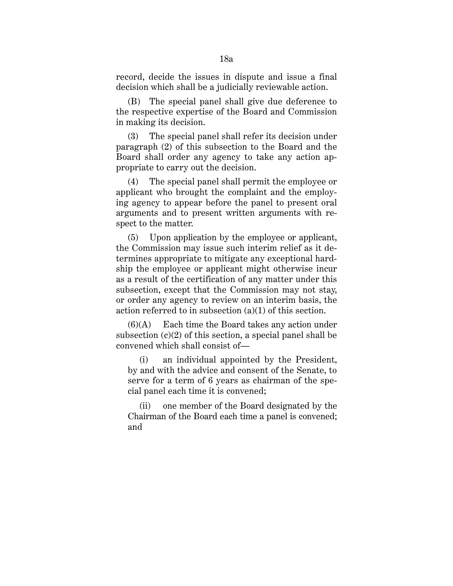record, decide the issues in dispute and issue a final decision which shall be a judicially reviewable action.

(B) The special panel shall give due deference to the respective expertise of the Board and Commission in making its decision.

(3) The special panel shall refer its decision under paragraph (2) of this subsection to the Board and the Board shall order any agency to take any action appropriate to carry out the decision.

(4) The special panel shall permit the employee or applicant who brought the complaint and the employing agency to appear before the panel to present oral arguments and to present written arguments with respect to the matter.

(5) Upon application by the employee or applicant, the Commission may issue such interim relief as it determines appropriate to mitigate any exceptional hardship the employee or applicant might otherwise incur as a result of the certification of any matter under this subsection, except that the Commission may not stay, or order any agency to review on an interim basis, the action referred to in subsection (a)(1) of this section.

 $(6)(A)$  Each time the Board takes any action under subsection  $(c)(2)$  of this section, a special panel shall be convened which shall consist of—

(i) an individual appointed by the President, by and with the advice and consent of the Senate, to serve for a term of 6 years as chairman of the special panel each time it is convened;

(ii) one member of the Board designated by the Chairman of the Board each time a panel is convened; and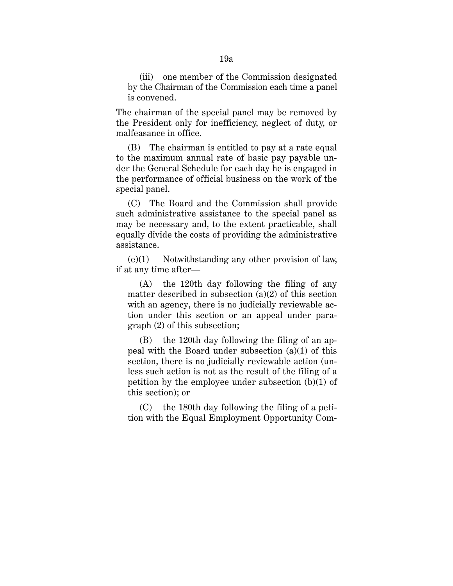(iii) one member of the Commission designated by the Chairman of the Commission each time a panel is convened.

The chairman of the special panel may be removed by the President only for inefficiency, neglect of duty, or malfeasance in office.

(B) The chairman is entitled to pay at a rate equal to the maximum annual rate of basic pay payable under the General Schedule for each day he is engaged in the performance of official business on the work of the special panel.

(C) The Board and the Commission shall provide such administrative assistance to the special panel as may be necessary and, to the extent practicable, shall equally divide the costs of providing the administrative assistance.

 $(e)(1)$  Notwithstanding any other provision of law, if at any time after—

(A) the 120th day following the filing of any matter described in subsection  $(a)(2)$  of this section with an agency, there is no judicially reviewable action under this section or an appeal under paragraph (2) of this subsection;

(B) the 120th day following the filing of an appeal with the Board under subsection (a)(1) of this section, there is no judicially reviewable action (unless such action is not as the result of the filing of a petition by the employee under subsection (b)(1) of this section); or

(C) the 180th day following the filing of a petition with the Equal Employment Opportunity Com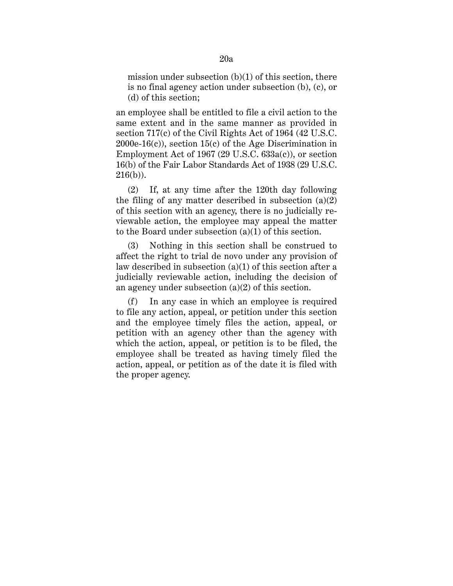mission under subsection  $(b)(1)$  of this section, there is no final agency action under subsection (b), (c), or (d) of this section;

an employee shall be entitled to file a civil action to the same extent and in the same manner as provided in section 717(c) of the Civil Rights Act of 1964 (42 U.S.C.  $2000e-16(c)$ , section  $15(c)$  of the Age Discrimination in Employment Act of 1967 (29 U.S.C. 633a(c)), or section 16(b) of the Fair Labor Standards Act of 1938 (29 U.S.C.  $216(b)$ ).

(2) If, at any time after the 120th day following the filing of any matter described in subsection  $(a)(2)$ of this section with an agency, there is no judicially reviewable action, the employee may appeal the matter to the Board under subsection (a)(1) of this section.

(3) Nothing in this section shall be construed to affect the right to trial de novo under any provision of law described in subsection (a)(1) of this section after a judicially reviewable action, including the decision of an agency under subsection (a)(2) of this section.

(f) In any case in which an employee is required to file any action, appeal, or petition under this section and the employee timely files the action, appeal, or petition with an agency other than the agency with which the action, appeal, or petition is to be filed, the employee shall be treated as having timely filed the action, appeal, or petition as of the date it is filed with the proper agency.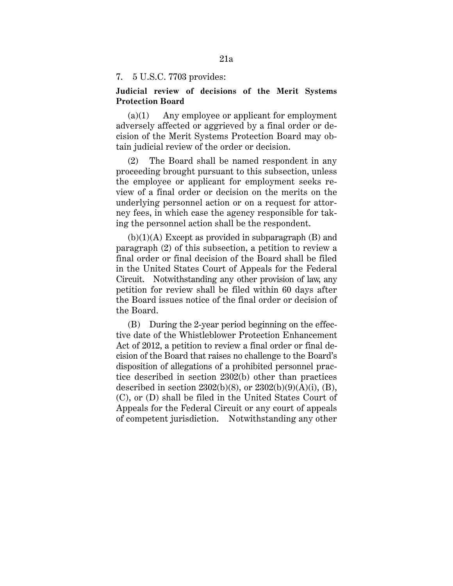## 7. 5 U.S.C. 7703 provides:

# **Judicial review of decisions of the Merit Systems Protection Board**

(a)(1) Any employee or applicant for employment adversely affected or aggrieved by a final order or decision of the Merit Systems Protection Board may obtain judicial review of the order or decision.

(2) The Board shall be named respondent in any proceeding brought pursuant to this subsection, unless the employee or applicant for employment seeks review of a final order or decision on the merits on the underlying personnel action or on a request for attorney fees, in which case the agency responsible for taking the personnel action shall be the respondent.

 $(b)(1)(A)$  Except as provided in subparagraph  $(B)$  and paragraph (2) of this subsection, a petition to review a final order or final decision of the Board shall be filed in the United States Court of Appeals for the Federal Circuit. Notwithstanding any other provision of law, any petition for review shall be filed within 60 days after the Board issues notice of the final order or decision of the Board.

(B) During the 2-year period beginning on the effective date of the Whistleblower Protection Enhancement Act of 2012, a petition to review a final order or final decision of the Board that raises no challenge to the Board's disposition of allegations of a prohibited personnel practice described in section 2302(b) other than practices described in section  $2302(b)(8)$ , or  $2302(b)(9)(A)(i)$ , (B), (C), or (D) shall be filed in the United States Court of Appeals for the Federal Circuit or any court of appeals of competent jurisdiction. Notwithstanding any other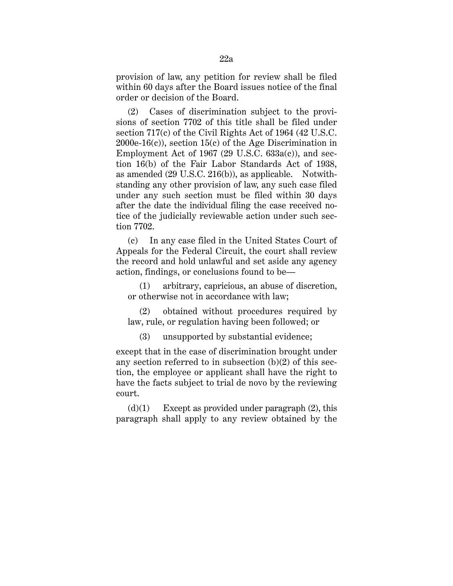provision of law, any petition for review shall be filed within 60 days after the Board issues notice of the final order or decision of the Board.

(2) Cases of discrimination subject to the provisions of section 7702 of this title shall be filed under section 717(c) of the Civil Rights Act of 1964 (42 U.S.C. 2000e-16(c)), section 15(c) of the Age Discrimination in Employment Act of 1967 (29 U.S.C. 633a(c)), and section 16(b) of the Fair Labor Standards Act of 1938, as amended (29 U.S.C. 216(b)), as applicable. Notwithstanding any other provision of law, any such case filed under any such section must be filed within 30 days after the date the individual filing the case received notice of the judicially reviewable action under such section 7702.

(c) In any case filed in the United States Court of Appeals for the Federal Circuit, the court shall review the record and hold unlawful and set aside any agency action, findings, or conclusions found to be—

(1) arbitrary, capricious, an abuse of discretion, or otherwise not in accordance with law;

(2) obtained without procedures required by law, rule, or regulation having been followed; or

(3) unsupported by substantial evidence;

except that in the case of discrimination brought under any section referred to in subsection (b)(2) of this section, the employee or applicant shall have the right to have the facts subject to trial de novo by the reviewing court.

 $(d)(1)$  Except as provided under paragraph  $(2)$ , this paragraph shall apply to any review obtained by the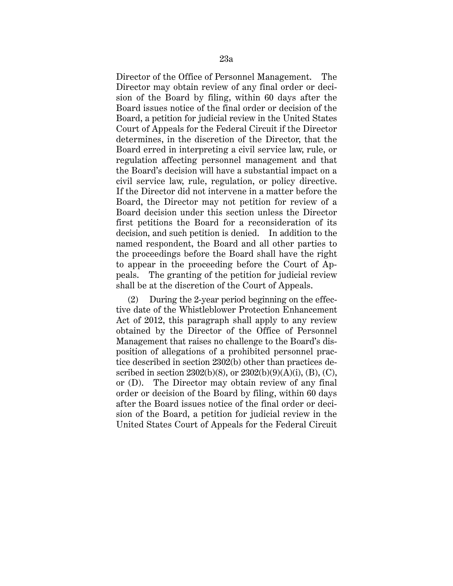Director of the Office of Personnel Management. The Director may obtain review of any final order or decision of the Board by filing, within 60 days after the Board issues notice of the final order or decision of the Board, a petition for judicial review in the United States Court of Appeals for the Federal Circuit if the Director determines, in the discretion of the Director, that the Board erred in interpreting a civil service law, rule, or regulation affecting personnel management and that the Board's decision will have a substantial impact on a civil service law, rule, regulation, or policy directive. If the Director did not intervene in a matter before the Board, the Director may not petition for review of a Board decision under this section unless the Director first petitions the Board for a reconsideration of its decision, and such petition is denied. In addition to the named respondent, the Board and all other parties to the proceedings before the Board shall have the right to appear in the proceeding before the Court of Appeals. The granting of the petition for judicial review shall be at the discretion of the Court of Appeals.

(2) During the 2-year period beginning on the effective date of the Whistleblower Protection Enhancement Act of 2012, this paragraph shall apply to any review obtained by the Director of the Office of Personnel Management that raises no challenge to the Board's disposition of allegations of a prohibited personnel practice described in section 2302(b) other than practices described in section  $2302(b)(8)$ , or  $2302(b)(9)(A)(i)$ , (B), (C), or (D). The Director may obtain review of any final order or decision of the Board by filing, within 60 days after the Board issues notice of the final order or decision of the Board, a petition for judicial review in the United States Court of Appeals for the Federal Circuit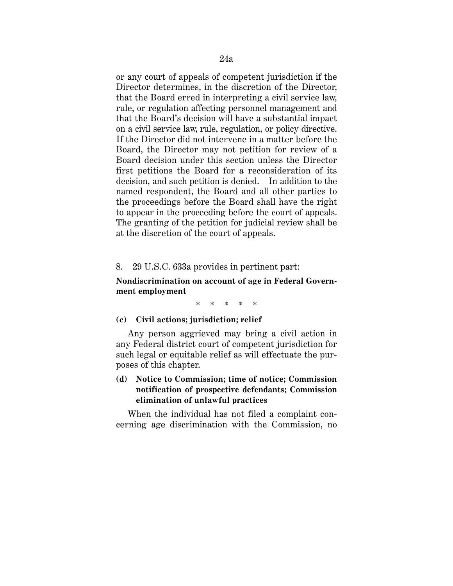or any court of appeals of competent jurisdiction if the Director determines, in the discretion of the Director, that the Board erred in interpreting a civil service law, rule, or regulation affecting personnel management and that the Board's decision will have a substantial impact on a civil service law, rule, regulation, or policy directive. If the Director did not intervene in a matter before the Board, the Director may not petition for review of a Board decision under this section unless the Director first petitions the Board for a reconsideration of its decision, and such petition is denied. In addition to the named respondent, the Board and all other parties to the proceedings before the Board shall have the right to appear in the proceeding before the court of appeals. The granting of the petition for judicial review shall be at the discretion of the court of appeals.

### 8. 29 U.S.C. 633a provides in pertinent part:

# **Nondiscrimination on account of age in Federal Government employment**

\* \* \* \* \*

## **(c) Civil actions; jurisdiction; relief**

Any person aggrieved may bring a civil action in any Federal district court of competent jurisdiction for such legal or equitable relief as will effectuate the purposes of this chapter.

# **(d) Notice to Commission; time of notice; Commission notification of prospective defendants; Commission elimination of unlawful practices**

When the individual has not filed a complaint concerning age discrimination with the Commission, no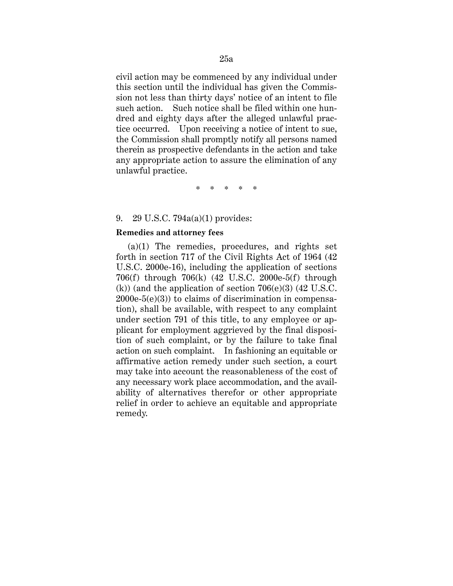civil action may be commenced by any individual under this section until the individual has given the Commission not less than thirty days' notice of an intent to file such action. Such notice shall be filed within one hundred and eighty days after the alleged unlawful practice occurred. Upon receiving a notice of intent to sue, the Commission shall promptly notify all persons named therein as prospective defendants in the action and take any appropriate action to assure the elimination of any unlawful practice.

\* \* \* \* \*

### 9. 29 U.S.C. 794a(a)(1) provides:

#### **Remedies and attorney fees**

(a)(1) The remedies, procedures, and rights set forth in section 717 of the Civil Rights Act of 1964 (42 U.S.C. 2000e-16), including the application of sections 706(f) through 706(k) (42 U.S.C. 2000e-5(f) through  $(k)$ ) (and the application of section 706(e)(3) (42 U.S.C.  $2000e-5(e)(3)$  to claims of discrimination in compensation), shall be available, with respect to any complaint under section 791 of this title, to any employee or applicant for employment aggrieved by the final disposition of such complaint, or by the failure to take final action on such complaint. In fashioning an equitable or affirmative action remedy under such section, a court may take into account the reasonableness of the cost of any necessary work place accommodation, and the availability of alternatives therefor or other appropriate relief in order to achieve an equitable and appropriate remedy.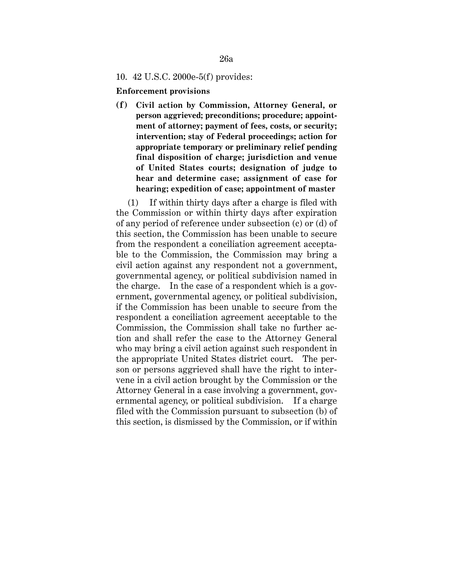## 10. 42 U.S.C. 2000e-5(f) provides:

**Enforcement provisions**

**(f) Civil action by Commission, Attorney General, or person aggrieved; preconditions; procedure; appointment of attorney; payment of fees, costs, or security; intervention; stay of Federal proceedings; action for appropriate temporary or preliminary relief pending final disposition of charge; jurisdiction and venue of United States courts; designation of judge to hear and determine case; assignment of case for hearing; expedition of case; appointment of master**

(1) If within thirty days after a charge is filed with the Commission or within thirty days after expiration of any period of reference under subsection (c) or (d) of this section, the Commission has been unable to secure from the respondent a conciliation agreement acceptable to the Commission, the Commission may bring a civil action against any respondent not a government, governmental agency, or political subdivision named in the charge. In the case of a respondent which is a government, governmental agency, or political subdivision, if the Commission has been unable to secure from the respondent a conciliation agreement acceptable to the Commission, the Commission shall take no further action and shall refer the case to the Attorney General who may bring a civil action against such respondent in the appropriate United States district court. The person or persons aggrieved shall have the right to intervene in a civil action brought by the Commission or the Attorney General in a case involving a government, governmental agency, or political subdivision. If a charge filed with the Commission pursuant to subsection (b) of this section, is dismissed by the Commission, or if within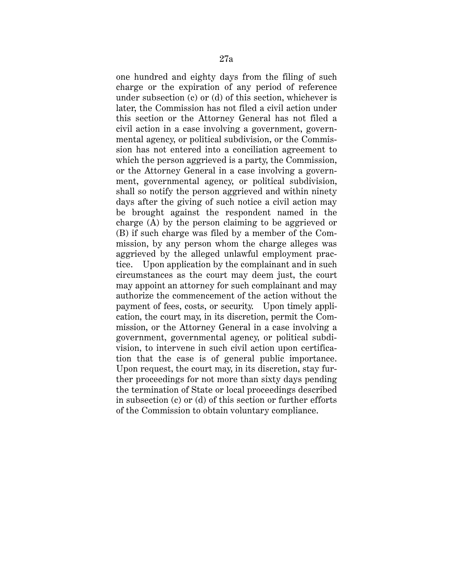one hundred and eighty days from the filing of such charge or the expiration of any period of reference under subsection (c) or (d) of this section, whichever is later, the Commission has not filed a civil action under this section or the Attorney General has not filed a civil action in a case involving a government, governmental agency, or political subdivision, or the Commission has not entered into a conciliation agreement to which the person aggrieved is a party, the Commission, or the Attorney General in a case involving a government, governmental agency, or political subdivision, shall so notify the person aggrieved and within ninety days after the giving of such notice a civil action may be brought against the respondent named in the charge (A) by the person claiming to be aggrieved or (B) if such charge was filed by a member of the Commission, by any person whom the charge alleges was aggrieved by the alleged unlawful employment practice. Upon application by the complainant and in such circumstances as the court may deem just, the court may appoint an attorney for such complainant and may authorize the commencement of the action without the payment of fees, costs, or security. Upon timely application, the court may, in its discretion, permit the Commission, or the Attorney General in a case involving a government, governmental agency, or political subdivision, to intervene in such civil action upon certification that the case is of general public importance. Upon request, the court may, in its discretion, stay further proceedings for not more than sixty days pending the termination of State or local proceedings described in subsection (c) or (d) of this section or further efforts of the Commission to obtain voluntary compliance.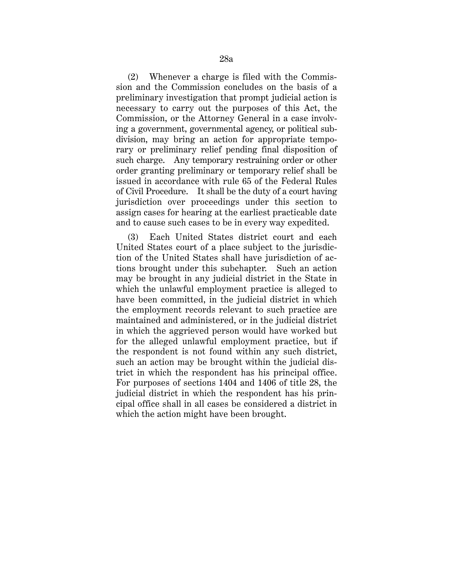(2) Whenever a charge is filed with the Commission and the Commission concludes on the basis of a preliminary investigation that prompt judicial action is necessary to carry out the purposes of this Act, the Commission, or the Attorney General in a case involving a government, governmental agency, or political subdivision, may bring an action for appropriate temporary or preliminary relief pending final disposition of such charge. Any temporary restraining order or other order granting preliminary or temporary relief shall be issued in accordance with rule 65 of the Federal Rules of Civil Procedure. It shall be the duty of a court having jurisdiction over proceedings under this section to assign cases for hearing at the earliest practicable date and to cause such cases to be in every way expedited.

(3) Each United States district court and each United States court of a place subject to the jurisdiction of the United States shall have jurisdiction of actions brought under this subchapter. Such an action may be brought in any judicial district in the State in which the unlawful employment practice is alleged to have been committed, in the judicial district in which the employment records relevant to such practice are maintained and administered, or in the judicial district in which the aggrieved person would have worked but for the alleged unlawful employment practice, but if the respondent is not found within any such district, such an action may be brought within the judicial district in which the respondent has his principal office. For purposes of sections 1404 and 1406 of title 28, the judicial district in which the respondent has his principal office shall in all cases be considered a district in which the action might have been brought.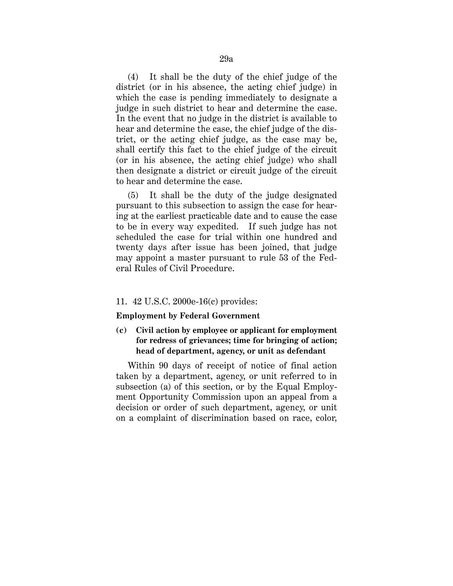(4) It shall be the duty of the chief judge of the district (or in his absence, the acting chief judge) in which the case is pending immediately to designate a judge in such district to hear and determine the case. In the event that no judge in the district is available to hear and determine the case, the chief judge of the district, or the acting chief judge, as the case may be, shall certify this fact to the chief judge of the circuit (or in his absence, the acting chief judge) who shall then designate a district or circuit judge of the circuit to hear and determine the case.

(5) It shall be the duty of the judge designated pursuant to this subsection to assign the case for hearing at the earliest practicable date and to cause the case to be in every way expedited. If such judge has not scheduled the case for trial within one hundred and twenty days after issue has been joined, that judge may appoint a master pursuant to rule 53 of the Federal Rules of Civil Procedure.

### 11. 42 U.S.C. 2000e-16(c) provides:

#### **Employment by Federal Government**

# **(c) Civil action by employee or applicant for employment for redress of grievances; time for bringing of action; head of department, agency, or unit as defendant**

Within 90 days of receipt of notice of final action taken by a department, agency, or unit referred to in subsection (a) of this section, or by the Equal Employment Opportunity Commission upon an appeal from a decision or order of such department, agency, or unit on a complaint of discrimination based on race, color,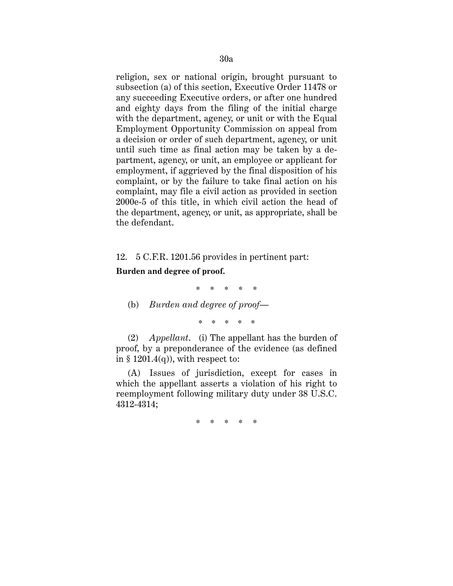religion, sex or national origin, brought pursuant to subsection (a) of this section, Executive Order 11478 or any succeeding Executive orders, or after one hundred and eighty days from the filing of the initial charge with the department, agency, or unit or with the Equal Employment Opportunity Commission on appeal from a decision or order of such department, agency, or unit until such time as final action may be taken by a department, agency, or unit, an employee or applicant for employment, if aggrieved by the final disposition of his complaint, or by the failure to take final action on his complaint, may file a civil action as provided in section 2000e-5 of this title, in which civil action the head of the department, agency, or unit, as appropriate, shall be the defendant.

12. 5 C.F.R. 1201.56 provides in pertinent part:

**Burden and degree of proof.**

\* \* \* \* \*

(b) *Burden and degree of proof—*

*\* \* \* \* \**

(2) *Appellant*. (i) The appellant has the burden of proof, by a preponderance of the evidence (as defined in § 1201.4(q)), with respect to:

(A) Issues of jurisdiction, except for cases in which the appellant asserts a violation of his right to reemployment following military duty under 38 U.S.C. 4312-4314;

\* \* \* \* \*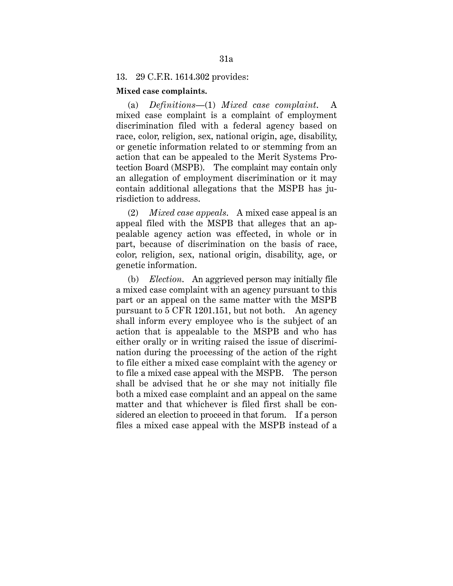## 13. 29 C.F.R. 1614.302 provides:

#### **Mixed case complaints.**

(a) *Definitions—*(1) *Mixed case complaint*. A mixed case complaint is a complaint of employment discrimination filed with a federal agency based on race, color, religion, sex, national origin, age, disability, or genetic information related to or stemming from an action that can be appealed to the Merit Systems Protection Board (MSPB). The complaint may contain only an allegation of employment discrimination or it may contain additional allegations that the MSPB has jurisdiction to address.

(2) *Mixed case appeals*. A mixed case appeal is an appeal filed with the MSPB that alleges that an appealable agency action was effected, in whole or in part, because of discrimination on the basis of race, color, religion, sex, national origin, disability, age, or genetic information.

(b) *Election*. An aggrieved person may initially file a mixed case complaint with an agency pursuant to this part or an appeal on the same matter with the MSPB pursuant to 5 CFR 1201.151, but not both. An agency shall inform every employee who is the subject of an action that is appealable to the MSPB and who has either orally or in writing raised the issue of discrimination during the processing of the action of the right to file either a mixed case complaint with the agency or to file a mixed case appeal with the MSPB. The person shall be advised that he or she may not initially file both a mixed case complaint and an appeal on the same matter and that whichever is filed first shall be considered an election to proceed in that forum. If a person files a mixed case appeal with the MSPB instead of a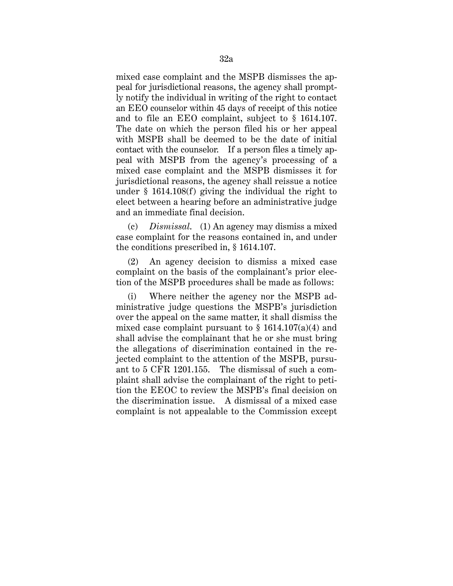mixed case complaint and the MSPB dismisses the appeal for jurisdictional reasons, the agency shall promptly notify the individual in writing of the right to contact an EEO counselor within 45 days of receipt of this notice and to file an EEO complaint, subject to § 1614.107. The date on which the person filed his or her appeal with MSPB shall be deemed to be the date of initial contact with the counselor. If a person files a timely appeal with MSPB from the agency's processing of a mixed case complaint and the MSPB dismisses it for jurisdictional reasons, the agency shall reissue a notice under § 1614.108(f) giving the individual the right to elect between a hearing before an administrative judge and an immediate final decision.

(c) *Dismissal*. (1) An agency may dismiss a mixed case complaint for the reasons contained in, and under the conditions prescribed in, § 1614.107.

(2) An agency decision to dismiss a mixed case complaint on the basis of the complainant's prior election of the MSPB procedures shall be made as follows:

(i) Where neither the agency nor the MSPB administrative judge questions the MSPB's jurisdiction over the appeal on the same matter, it shall dismiss the mixed case complaint pursuant to  $\S$  1614.107(a)(4) and shall advise the complainant that he or she must bring the allegations of discrimination contained in the rejected complaint to the attention of the MSPB, pursuant to 5 CFR 1201.155. The dismissal of such a complaint shall advise the complainant of the right to petition the EEOC to review the MSPB's final decision on the discrimination issue. A dismissal of a mixed case complaint is not appealable to the Commission except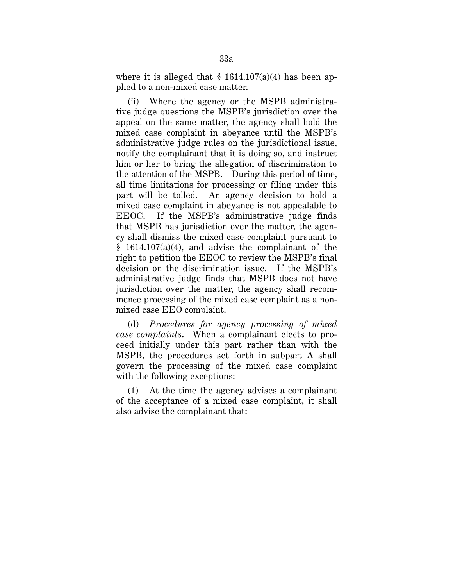where it is alleged that  $\S$  1614.107(a)(4) has been applied to a non-mixed case matter.

(ii) Where the agency or the MSPB administrative judge questions the MSPB's jurisdiction over the appeal on the same matter, the agency shall hold the mixed case complaint in abeyance until the MSPB's administrative judge rules on the jurisdictional issue, notify the complainant that it is doing so, and instruct him or her to bring the allegation of discrimination to the attention of the MSPB. During this period of time, all time limitations for processing or filing under this part will be tolled. An agency decision to hold a mixed case complaint in abeyance is not appealable to EEOC. If the MSPB's administrative judge finds that MSPB has jurisdiction over the matter, the agency shall dismiss the mixed case complaint pursuant to  $§$  1614.107(a)(4), and advise the complainant of the right to petition the EEOC to review the MSPB's final decision on the discrimination issue. If the MSPB's administrative judge finds that MSPB does not have jurisdiction over the matter, the agency shall recommence processing of the mixed case complaint as a nonmixed case EEO complaint.

(d) *Procedures for agency processing of mixed case complaints*. When a complainant elects to proceed initially under this part rather than with the MSPB, the procedures set forth in subpart A shall govern the processing of the mixed case complaint with the following exceptions:

(1) At the time the agency advises a complainant of the acceptance of a mixed case complaint, it shall also advise the complainant that: